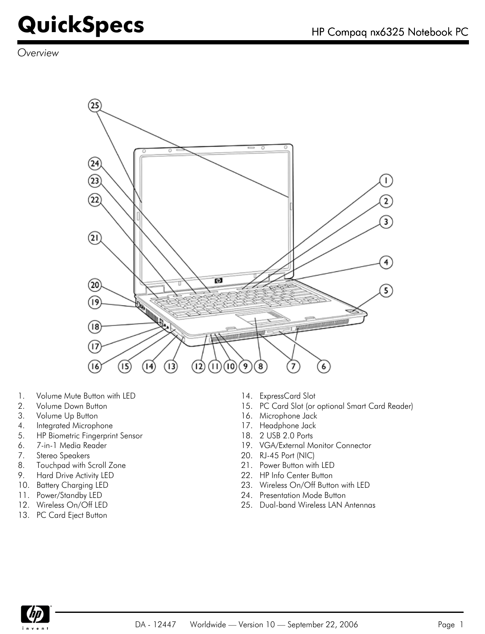*Overview*



- 1. Volume Mute Button with LED 14. ExpressCard Slot
- 
- 3. Volume Up Button 16. Microphone Jack
- 4. Integrated Microphone 17. Headphone Jack
- 5. HP Biometric Fingerprint Sensor 18. 2 USB 2.0 Ports
- 
- 7. Stereo Speakers 20. RJ-45 Port (NIC)
- 8. Touchpad with Scroll Zone 21. Power Button with LED
- 9. Hard Drive Activity LED 22. HP Info Center Button
- 
- 
- 
- 13. PC Card Eject Button
- 
- 2. Volume Down Button 15. PC Card Slot (or optional Smart Card Reader)
	-
	-
	-
- 6. 7-in-1 Media Reader 19. VGA/External Monitor Connector
	-
	-
	-
- 10. Battery Charging LED 23. Wireless On/Off Button with LED
- 11. Power/Standby LED 24. Presentation Mode Button
- 12. Wireless On/Off LED 25. Dual-band Wireless LAN Antennas

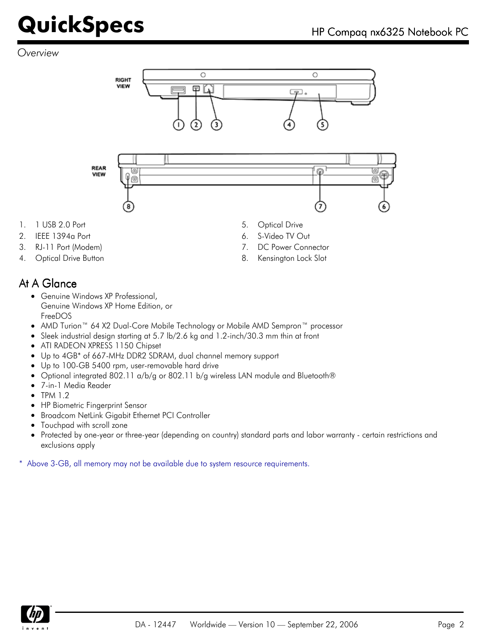#### *Overview*





- 1. 1 USB 2.0 Port 6. 20 Port 5. Optical Drive
- 2. IEEE 1394a Port 6. S-Video TV Out
- 
- 4. Optical Drive Button **8. Community** 8. Kensington Lock Slot
- -
- 3. RJ-11 Port (Modem) 7. DC Power Connector
	-

#### At A Glance

- Genuine Windows XP Professional, Genuine Windows XP Home Edition, or FreeDOS
- AMD Turion™ 64 X2 Dual-Core Mobile Technology or Mobile AMD Sempron™ processor
- Sleek industrial design starting at 5.7 lb/2.6 kg and 1.2-inch/30.3 mm thin at front  $\bullet$
- ATI RADEON XPRESS 1150 Chipset
- Up to 4GB\* of 667-MHz DDR2 SDRAM, dual channel memory support  $\bullet$
- Up to 100-GB 5400 rpm, user-removable hard drive
- Optional integrated 802.11 a/b/g or 802.11 b/g wireless LAN module and Bluetooth®  $\bullet$
- 7-in-1 Media Reader
- $\bullet$  TPM 1.2
- HP Biometric Fingerprint Sensor
- Broadcom NetLink Gigabit Ethernet PCI Controller  $\bullet$
- Touchpad with scroll zone
- Protected by one-year or three-year (depending on country) standard parts and labor warranty certain restrictions and  $\bullet$ exclusions apply

\* Above 3-GB, all memory may not be available due to system resource requirements.

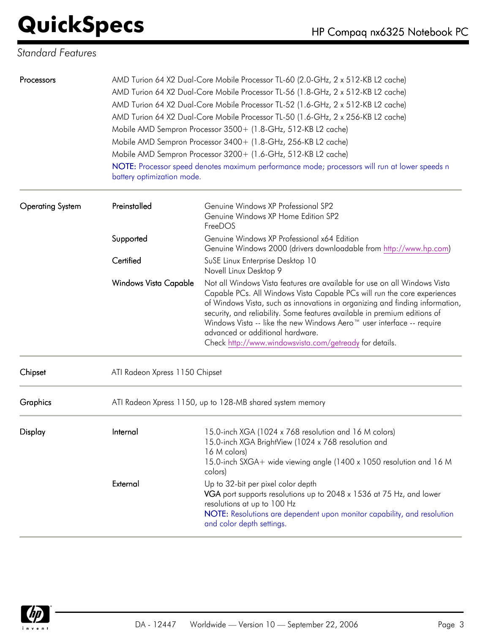#### *Standard Features*

| Processors              | battery optimization mode.     | AMD Turion 64 X2 Dual-Core Mobile Processor TL-60 (2.0-GHz, 2 x 512-KB L2 cache)<br>AMD Turion 64 X2 Dual-Core Mobile Processor TL-56 (1.8-GHz, 2 x 512-KB L2 cache)<br>AMD Turion 64 X2 Dual-Core Mobile Processor TL-52 (1.6-GHz, 2 x 512-KB L2 cache)<br>AMD Turion 64 X2 Dual-Core Mobile Processor TL-50 (1.6-GHz, 2 x 256-KB L2 cache)<br>Mobile AMD Sempron Processor 3500+ (1.8-GHz, 512-KB L2 cache)<br>Mobile AMD Sempron Processor 3400+ (1.8-GHz, 256-KB L2 cache)<br>Mobile AMD Sempron Processor 3200+ (1.6-GHz, 512-KB L2 cache)<br>NOTE: Processor speed denotes maximum performance mode; processors will run at lower speeds n |
|-------------------------|--------------------------------|--------------------------------------------------------------------------------------------------------------------------------------------------------------------------------------------------------------------------------------------------------------------------------------------------------------------------------------------------------------------------------------------------------------------------------------------------------------------------------------------------------------------------------------------------------------------------------------------------------------------------------------------------|
| <b>Operating System</b> | Preinstalled                   | Genuine Windows XP Professional SP2<br>Genuine Windows XP Home Edition SP2<br>FreeDOS                                                                                                                                                                                                                                                                                                                                                                                                                                                                                                                                                            |
|                         | Supported                      | Genuine Windows XP Professional x64 Edition<br>Genuine Windows 2000 (drivers downloadable from http://www.hp.com)                                                                                                                                                                                                                                                                                                                                                                                                                                                                                                                                |
|                         | Certified                      | SuSE Linux Enterprise Desktop 10<br>Novell Linux Desktop 9                                                                                                                                                                                                                                                                                                                                                                                                                                                                                                                                                                                       |
|                         | <b>Windows Vista Capable</b>   | Not all Windows Vista features are available for use on all Windows Vista<br>Capable PCs. All Windows Vista Capable PCs will run the core experiences<br>of Windows Vista, such as innovations in organizing and finding information,<br>security, and reliability. Some features available in premium editions of<br>Windows Vista -- like the new Windows Aero™ user interface -- require<br>advanced or additional hardware.<br>Check http://www.windowsvista.com/getready for details.                                                                                                                                                       |
| Chipset                 | ATI Radeon Xpress 1150 Chipset |                                                                                                                                                                                                                                                                                                                                                                                                                                                                                                                                                                                                                                                  |
| Graphics                |                                | ATI Radeon Xpress 1150, up to 128-MB shared system memory                                                                                                                                                                                                                                                                                                                                                                                                                                                                                                                                                                                        |
| Display                 | Internal                       | 15.0-inch XGA (1024 x 768 resolution and 16 M colors)<br>15.0-inch XGA BrightView (1024 x 768 resolution and<br>16 M colors)<br>15.0-inch SXGA+ wide viewing angle (1400 x 1050 resolution and 16 M<br>colors)                                                                                                                                                                                                                                                                                                                                                                                                                                   |
|                         | External                       | Up to 32-bit per pixel color depth<br>VGA port supports resolutions up to 2048 x 1536 at 75 Hz, and lower<br>resolutions at up to 100 Hz<br>NOTE: Resolutions are dependent upon monitor capability, and resolution<br>and color depth settings.                                                                                                                                                                                                                                                                                                                                                                                                 |

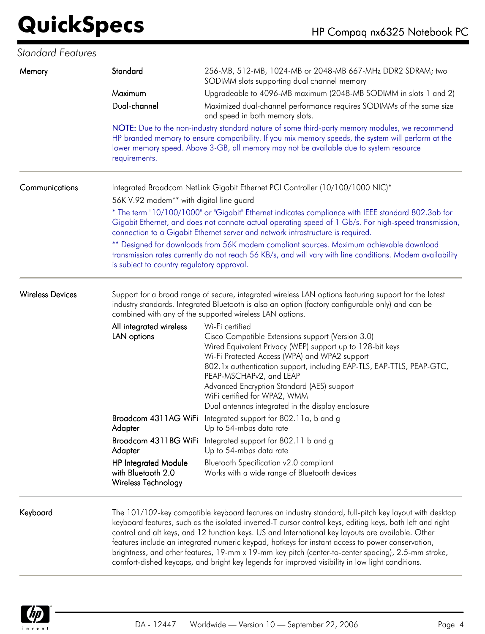#### *Standard Features*

| Memory                  | Standard                                                                 | 256-MB, 512-MB, 1024-MB or 2048-MB 667-MHz DDR2 SDRAM; two<br>SODIMM slots supporting dual channel memory                                                                                                                                                                                                                                                                                                                                                                                                                                                                                                                            |
|-------------------------|--------------------------------------------------------------------------|--------------------------------------------------------------------------------------------------------------------------------------------------------------------------------------------------------------------------------------------------------------------------------------------------------------------------------------------------------------------------------------------------------------------------------------------------------------------------------------------------------------------------------------------------------------------------------------------------------------------------------------|
|                         | Maximum                                                                  | Upgradeable to 4096-MB maximum (2048-MB SODIMM in slots 1 and 2)                                                                                                                                                                                                                                                                                                                                                                                                                                                                                                                                                                     |
|                         | Dual-channel                                                             | Maximized dual-channel performance requires SODIMMs of the same size<br>and speed in both memory slots.                                                                                                                                                                                                                                                                                                                                                                                                                                                                                                                              |
|                         | requirements.                                                            | NOTE: Due to the non-industry standard nature of some third-party memory modules, we recommend<br>HP branded memory to ensure compatibility. If you mix memory speeds, the system will perform at the<br>lower memory speed. Above 3-GB, all memory may not be available due to system resource                                                                                                                                                                                                                                                                                                                                      |
| Communications          | 56K V.92 modem** with digital line guard                                 | Integrated Broadcom NetLink Gigabit Ethernet PCI Controller (10/100/1000 NIC)*                                                                                                                                                                                                                                                                                                                                                                                                                                                                                                                                                       |
|                         |                                                                          | * The term "10/100/1000" or "Gigabit" Ethernet indicates compliance with IEEE standard 802.3ab for<br>Gigabit Ethernet, and does not connote actual operating speed of 1 Gb/s. For high-speed transmission,<br>connection to a Gigabit Ethernet server and network infrastructure is required.                                                                                                                                                                                                                                                                                                                                       |
|                         | is subject to country regulatory approval.                               | ** Designed for downloads from 56K modem compliant sources. Maximum achievable download<br>transmission rates currently do not reach 56 KB/s, and will vary with line conditions. Modem availability                                                                                                                                                                                                                                                                                                                                                                                                                                 |
| <b>Wireless Devices</b> |                                                                          | Support for a broad range of secure, integrated wireless LAN options featuring support for the latest<br>industry standards. Integrated Bluetooth is also an option (factory configurable only) and can be<br>combined with any of the supported wireless LAN options.                                                                                                                                                                                                                                                                                                                                                               |
|                         | All integrated wireless<br>LAN options                                   | Wi-Fi certified<br>Cisco Compatible Extensions support (Version 3.0)<br>Wired Equivalent Privacy (WEP) support up to 128-bit keys<br>Wi-Fi Protected Access (WPA) and WPA2 support<br>802.1x authentication support, including EAP-TLS, EAP-TTLS, PEAP-GTC,<br>PEAP-MSCHAPv2, and LEAP<br>Advanced Encryption Standard (AES) support<br>WiFi certified for WPA2, WMM<br>Dual antennas integrated in the display enclosure                                                                                                                                                                                                            |
|                         | Broadcom 4311AG WiFi<br>Adapter                                          | Integrated support for 802.11a, b and g<br>Up to 54-mbps data rate                                                                                                                                                                                                                                                                                                                                                                                                                                                                                                                                                                   |
|                         | Adapter                                                                  | Broadcom 4311BG WiFi Integrated support for 802.11 b and g<br>Up to 54-mbps data rate                                                                                                                                                                                                                                                                                                                                                                                                                                                                                                                                                |
|                         | <b>HP Integrated Module</b><br>with Bluetooth 2.0<br>Wireless Technology | Bluetooth Specification v2.0 compliant<br>Works with a wide range of Bluetooth devices                                                                                                                                                                                                                                                                                                                                                                                                                                                                                                                                               |
| Keyboard                |                                                                          | The 101/102-key compatible keyboard features an industry standard, full-pitch key layout with desktop<br>keyboard features, such as the isolated inverted-T cursor control keys, editing keys, both left and right<br>control and alt keys, and 12 function keys. US and International key layouts are available. Other<br>features include an integrated numeric keypad, hotkeys for instant access to power conservation,<br>brightness, and other features, 19-mm x 19-mm key pitch (center-to-center spacing), 2.5-mm stroke,<br>comfort-dished keycaps, and bright key legends for improved visibility in low light conditions. |

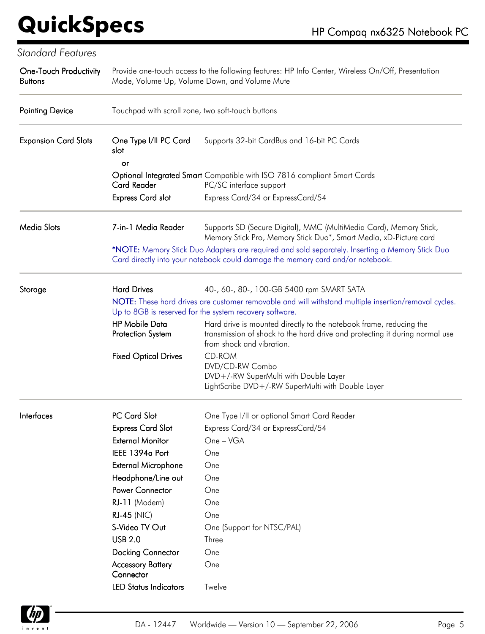| <b>Standard Features</b>                        |                                                   |                                                                                                                                                                                                                                           |
|-------------------------------------------------|---------------------------------------------------|-------------------------------------------------------------------------------------------------------------------------------------------------------------------------------------------------------------------------------------------|
| <b>One-Touch Productivity</b><br><b>Buttons</b> | Mode, Volume Up, Volume Down, and Volume Mute     | Provide one-touch access to the following features: HP Info Center, Wireless On/Off, Presentation                                                                                                                                         |
| <b>Pointing Device</b>                          | Touchpad with scroll zone, two soft-touch buttons |                                                                                                                                                                                                                                           |
| <b>Expansion Card Slots</b>                     | One Type I/II PC Card<br>slot<br>or               | Supports 32-bit CardBus and 16-bit PC Cards                                                                                                                                                                                               |
|                                                 |                                                   | Optional Integrated Smart Compatible with ISO 7816 compliant Smart Cards                                                                                                                                                                  |
|                                                 | <b>Card Reader</b><br><b>Express Card slot</b>    | PC/SC interface support<br>Express Card/34 or ExpressCard/54                                                                                                                                                                              |
| <b>Media Slots</b>                              | 7-in-1 Media Reader                               | Supports SD (Secure Digital), MMC (MultiMedia Card), Memory Stick,<br>Memory Stick Pro, Memory Stick Duo*, Smart Media, xD-Picture card                                                                                                   |
|                                                 |                                                   | *NOTE: Memory Stick Duo Adapters are required and sold separately. Inserting a Memory Stick Duo<br>Card directly into your notebook could damage the memory card and/or notebook.                                                         |
| Storage                                         | <b>Hard Drives</b>                                | 40-, 60-, 80-, 100-GB 5400 rpm SMART SATA<br>NOTE: These hard drives are customer removable and will withstand multiple insertion/removal cycles.                                                                                         |
|                                                 | <b>HP Mobile Data</b><br>Protection System        | Up to 8GB is reserved for the system recovery software.<br>Hard drive is mounted directly to the notebook frame, reducing the<br>transmission of shock to the hard drive and protecting it during normal use<br>from shock and vibration. |
|                                                 | <b>Fixed Optical Drives</b>                       | <b>CD-ROM</b><br>DVD/CD-RW Combo<br>DVD+/-RW SuperMulti with Double Layer<br>LightScribe DVD+/-RW SuperMulti with Double Layer                                                                                                            |
| Interfaces                                      | PC Card Slot                                      | One Type I/II or optional Smart Card Reader                                                                                                                                                                                               |
|                                                 | <b>Express Card Slot</b>                          | Express Card/34 or ExpressCard/54                                                                                                                                                                                                         |
|                                                 | <b>External Monitor</b>                           | One - VGA                                                                                                                                                                                                                                 |
|                                                 | IEEE 1394a Port                                   | One                                                                                                                                                                                                                                       |
|                                                 | <b>External Microphone</b>                        | One                                                                                                                                                                                                                                       |
|                                                 | Headphone/Line out                                | One                                                                                                                                                                                                                                       |
|                                                 | Power Connector                                   | One                                                                                                                                                                                                                                       |
|                                                 | RJ-11 (Modem)                                     | One                                                                                                                                                                                                                                       |
|                                                 | <b>RJ-45 (NIC)</b>                                | One                                                                                                                                                                                                                                       |
|                                                 | S-Video TV Out                                    | One (Support for NTSC/PAL)                                                                                                                                                                                                                |
|                                                 | <b>USB 2.0</b>                                    | Three                                                                                                                                                                                                                                     |
|                                                 | <b>Docking Connector</b>                          | One                                                                                                                                                                                                                                       |
|                                                 | <b>Accessory Battery</b><br>Connector             | One                                                                                                                                                                                                                                       |
|                                                 | <b>LED Status Indicators</b>                      | Twelve                                                                                                                                                                                                                                    |

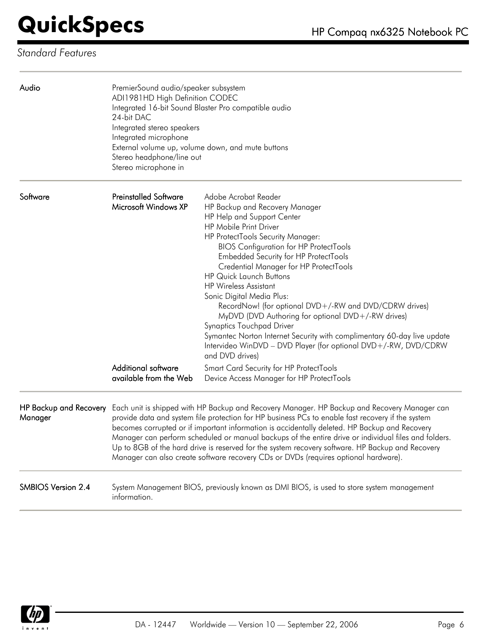#### *Standard Features*

| Audio                                    | PremierSound audio/speaker subsystem<br>ADI1981HD High Definition CODEC<br>24-bit DAC<br>Integrated stereo speakers<br>Integrated microphone<br>Stereo headphone/line out<br>Stereo microphone in | Integrated 16-bit Sound Blaster Pro compatible audio<br>External volume up, volume down, and mute buttons                                                                                                                                                                                                                                                                                                                                                                                                                                                                                                                                                                                                                 |
|------------------------------------------|---------------------------------------------------------------------------------------------------------------------------------------------------------------------------------------------------|---------------------------------------------------------------------------------------------------------------------------------------------------------------------------------------------------------------------------------------------------------------------------------------------------------------------------------------------------------------------------------------------------------------------------------------------------------------------------------------------------------------------------------------------------------------------------------------------------------------------------------------------------------------------------------------------------------------------------|
| Software                                 | <b>Preinstalled Software</b><br>Microsoft Windows XP                                                                                                                                              | Adobe Acrobat Reader<br>HP Backup and Recovery Manager<br>HP Help and Support Center<br><b>HP Mobile Print Driver</b><br>HP ProtectTools Security Manager:<br><b>BIOS Configuration for HP ProtectTools</b><br><b>Embedded Security for HP ProtectTools</b><br>Credential Manager for HP ProtectTools<br><b>HP Quick Launch Buttons</b><br><b>HP Wireless Assistant</b><br>Sonic Digital Media Plus:<br>RecordNow! (for optional DVD+/-RW and DVD/CDRW drives)<br>MyDVD (DVD Authoring for optional DVD+/-RW drives)<br><b>Synaptics Touchpad Driver</b><br>Symantec Norton Internet Security with complimentary 60-day live update<br>Intervideo WinDVD - DVD Player (for optional DVD+/-RW, DVD/CDRW<br>and DVD drives) |
|                                          | <b>Additional software</b><br>available from the Web                                                                                                                                              | <b>Smart Card Security for HP ProtectTools</b><br>Device Access Manager for HP ProtectTools                                                                                                                                                                                                                                                                                                                                                                                                                                                                                                                                                                                                                               |
| <b>HP Backup and Recovery</b><br>Manager |                                                                                                                                                                                                   | Each unit is shipped with HP Backup and Recovery Manager. HP Backup and Recovery Manager can<br>provide data and system file protection for HP business PCs to enable fast recovery if the system<br>becomes corrupted or if important information is accidentally deleted. HP Backup and Recovery<br>Manager can perform scheduled or manual backups of the entire drive or individual files and folders.<br>Up to 8GB of the hard drive is reserved for the system recovery software. HP Backup and Recovery<br>Manager can also create software recovery CDs or DVDs (requires optional hardware).                                                                                                                     |
| <b>SMBIOS Version 2.4</b>                | information.                                                                                                                                                                                      | System Management BIOS, previously known as DMI BIOS, is used to store system management                                                                                                                                                                                                                                                                                                                                                                                                                                                                                                                                                                                                                                  |

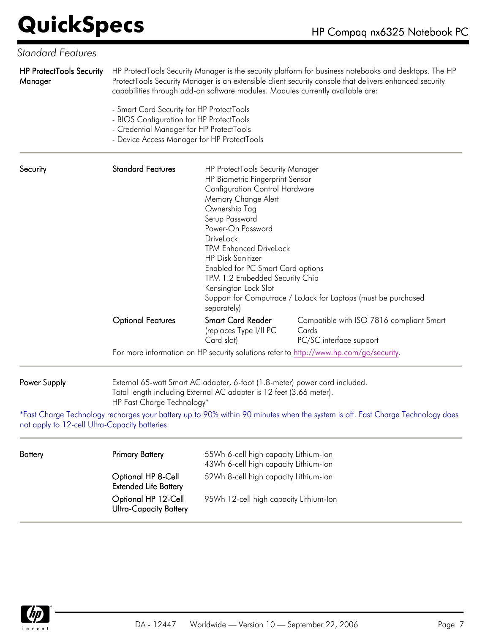#### *Standard Features*

| <b>HP ProtectTools Security</b><br>Manager     |                                                                                                                                                                                  | capabilities through add-on software modules. Modules currently available are:                                                                                                                                                                                                                                                                                                             | HP ProtectTools Security Manager is the security platform for business notebooks and desktops. The HP<br>ProtectTools Security Manager is an extensible client security console that delivers enhanced security |
|------------------------------------------------|----------------------------------------------------------------------------------------------------------------------------------------------------------------------------------|--------------------------------------------------------------------------------------------------------------------------------------------------------------------------------------------------------------------------------------------------------------------------------------------------------------------------------------------------------------------------------------------|-----------------------------------------------------------------------------------------------------------------------------------------------------------------------------------------------------------------|
|                                                | - Smart Card Security for HP ProtectTools<br>- BIOS Configuration for HP ProtectTools<br>- Credential Manager for HP ProtectTools<br>- Device Access Manager for HP ProtectTools |                                                                                                                                                                                                                                                                                                                                                                                            |                                                                                                                                                                                                                 |
| Security                                       | <b>Standard Features</b>                                                                                                                                                         | HP ProtectTools Security Manager<br>HP Biometric Fingerprint Sensor<br><b>Configuration Control Hardware</b><br>Memory Change Alert<br>Ownership Tag<br>Setup Password<br>Power-On Password<br>DriveLock<br><b>TPM Enhanced DriveLock</b><br><b>HP Disk Sanitizer</b><br><b>Enabled for PC Smart Card options</b><br>TPM 1.2 Embedded Security Chip<br>Kensington Lock Slot<br>separately) | Support for Computrace / LoJack for Laptops (must be purchased                                                                                                                                                  |
|                                                | <b>Optional Features</b>                                                                                                                                                         | <b>Smart Card Reader</b><br>(replaces Type I/II PC<br>Card slot)                                                                                                                                                                                                                                                                                                                           | Compatible with ISO 7816 compliant Smart<br>Cards<br>PC/SC interface support                                                                                                                                    |
|                                                |                                                                                                                                                                                  |                                                                                                                                                                                                                                                                                                                                                                                            | For more information on HP security solutions refer to http://www.hp.com/go/security.                                                                                                                           |
| Power Supply                                   | HP Fast Charge Technology*                                                                                                                                                       | External 65-watt Smart AC adapter, 6-foot (1.8-meter) power cord included.<br>Total length including External AC adapter is 12 feet (3.66 meter).                                                                                                                                                                                                                                          |                                                                                                                                                                                                                 |
| not apply to 12-cell Ultra-Capacity batteries. |                                                                                                                                                                                  |                                                                                                                                                                                                                                                                                                                                                                                            | *Fast Charge Technology recharges your battery up to 90% within 90 minutes when the system is off. Fast Charge Technology does                                                                                  |
| Battery                                        | <b>Primary Battery</b>                                                                                                                                                           | 55Wh 6-cell high capacity Lithium-Ion<br>43Wh 6-cell high capacity Lithium-Ion                                                                                                                                                                                                                                                                                                             |                                                                                                                                                                                                                 |
|                                                | Optional HP 8-Cell<br><b>Extended Life Battery</b>                                                                                                                               | 52Wh 8-cell high capacity Lithium-Ion                                                                                                                                                                                                                                                                                                                                                      |                                                                                                                                                                                                                 |



95Wh 12-cell high capacity Lithium-Ion

Optional HP 12-Cell Ultra-Capacity Battery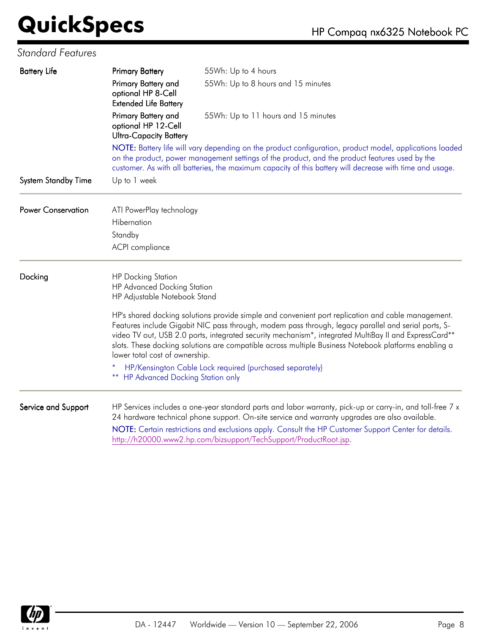#### *Standard Features*

| <b>Battery Life</b>        | <b>Primary Battery</b>                                                      | 55Wh: Up to 4 hours                                                                                                                                                                                                                                                                                                                                                                                                        |
|----------------------------|-----------------------------------------------------------------------------|----------------------------------------------------------------------------------------------------------------------------------------------------------------------------------------------------------------------------------------------------------------------------------------------------------------------------------------------------------------------------------------------------------------------------|
|                            | Primary Battery and<br>optional HP 8-Cell<br><b>Extended Life Battery</b>   | 55Wh: Up to 8 hours and 15 minutes                                                                                                                                                                                                                                                                                                                                                                                         |
|                            | Primary Battery and<br>optional HP 12-Cell<br><b>Ultra-Capacity Battery</b> | 55Wh: Up to 11 hours and 15 minutes                                                                                                                                                                                                                                                                                                                                                                                        |
|                            |                                                                             | NOTE: Battery life will vary depending on the product configuration, product model, applications loaded<br>on the product, power management settings of the product, and the product features used by the<br>customer. As with all batteries, the maximum capacity of this battery will decrease with time and usage.                                                                                                      |
| <b>System Standby Time</b> | Up to 1 week                                                                |                                                                                                                                                                                                                                                                                                                                                                                                                            |
| <b>Power Conservation</b>  | ATI PowerPlay technology                                                    |                                                                                                                                                                                                                                                                                                                                                                                                                            |
|                            | Hibernation                                                                 |                                                                                                                                                                                                                                                                                                                                                                                                                            |
|                            | Standby                                                                     |                                                                                                                                                                                                                                                                                                                                                                                                                            |
|                            | ACPI compliance                                                             |                                                                                                                                                                                                                                                                                                                                                                                                                            |
| Docking                    | <b>HP Docking Station</b><br>HP Advanced Docking Station                    |                                                                                                                                                                                                                                                                                                                                                                                                                            |
|                            | HP Adjustable Notebook Stand                                                |                                                                                                                                                                                                                                                                                                                                                                                                                            |
|                            | lower total cost of ownership.                                              | HP's shared docking solutions provide simple and convenient port replication and cable management.<br>Features include Gigabit NIC pass through, modem pass through, legacy parallel and serial ports, S-<br>video TV out, USB 2.0 ports, integrated security mechanism*, integrated MultiBay II and ExpressCard**<br>slots. These docking solutions are compatible across multiple Business Notebook platforms enabling a |
|                            | <b>** HP Advanced Docking Station only</b>                                  | HP/Kensington Cable Lock required (purchased separately)                                                                                                                                                                                                                                                                                                                                                                   |
| Service and Support        |                                                                             | HP Services includes a one-year standard parts and labor warranty, pick-up or carry-in, and toll-free $7 \times$<br>24 hardware technical phone support. On-site service and warranty upgrades are also available.                                                                                                                                                                                                         |
|                            |                                                                             | NOTE: Certain restrictions and exclusions apply. Consult the HP Customer Support Center for details.<br>http://h20000.www2.hp.com/bizsupport/TechSupport/ProductRoot.jsp.                                                                                                                                                                                                                                                  |

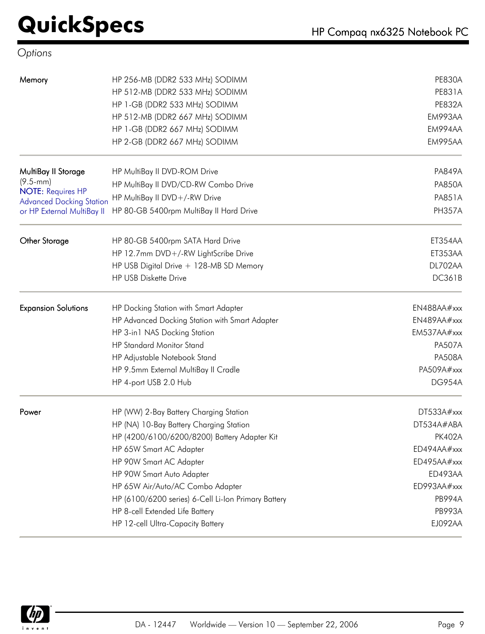#### *Options*

| Memory                                                      | HP 256-MB (DDR2 533 MHz) SODIMM                     | <b>PE830A</b> |
|-------------------------------------------------------------|-----------------------------------------------------|---------------|
|                                                             | HP 512-MB (DDR2 533 MHz) SODIMM                     | <b>PE831A</b> |
|                                                             | HP 1-GB (DDR2 533 MHz) SODIMM                       | <b>PE832A</b> |
|                                                             | HP 512-MB (DDR2 667 MHz) SODIMM                     | EM993AA       |
|                                                             | HP 1-GB (DDR2 667 MHz) SODIMM                       | EM994AA       |
|                                                             | HP 2-GB (DDR2 667 MHz) SODIMM                       | EM995AA       |
| MultiBay II Storage                                         | HP MultiBay II DVD-ROM Drive                        | <b>PA849A</b> |
| $(9.5 - mm)$                                                | HP MultiBay II DVD/CD-RW Combo Drive                | <b>PA850A</b> |
| <b>NOTE: Requires HP</b><br><b>Advanced Docking Station</b> | HP MultiBay II DVD+/-RW Drive                       | <b>PA851A</b> |
| or HP External MultiBay II                                  | HP 80-GB 5400rpm MultiBay II Hard Drive             | <b>PH357A</b> |
| <b>Other Storage</b>                                        | HP 80-GB 5400rpm SATA Hard Drive                    | ET354AA       |
|                                                             | HP 12.7mm DVD+/-RW LightScribe Drive                | ET353AA       |
|                                                             | HP USB Digital Drive + 128-MB SD Memory             | DL702AA       |
|                                                             | <b>HP USB Diskette Drive</b>                        | <b>DC361B</b> |
| <b>Expansion Solutions</b>                                  | HP Docking Station with Smart Adapter               | EN488AA#xxx   |
|                                                             | HP Advanced Docking Station with Smart Adapter      | EN489AA#xxx   |
|                                                             | HP 3-in1 NAS Docking Station                        | EM537AA#xxx   |
|                                                             | <b>HP Standard Monitor Stand</b>                    | <b>PA507A</b> |
|                                                             | HP Adjustable Notebook Stand                        | <b>PA508A</b> |
|                                                             | HP 9.5mm External MultiBay II Cradle                | PA509A#xxx    |
|                                                             | HP 4-port USB 2.0 Hub                               | <b>DG954A</b> |
| Power                                                       | HP (WW) 2-Bay Battery Charging Station              | DT533A#xxx    |
|                                                             | HP (NA) 10-Bay Battery Charging Station             | DT534A#ABA    |
|                                                             | HP (4200/6100/6200/8200) Battery Adapter Kit        | <b>PK402A</b> |
|                                                             | HP 65W Smart AC Adapter                             | ED494AA#xxx   |
|                                                             | HP 90W Smart AC Adapter                             | ED495AA#xxx   |
|                                                             | HP 90W Smart Auto Adapter                           | ED493AA       |
|                                                             | HP 65W Air/Auto/AC Combo Adapter                    | ED993AA#xxx   |
|                                                             | HP (6100/6200 series) 6-Cell Li-Ion Primary Battery | <b>PB994A</b> |
|                                                             | HP 8-cell Extended Life Battery                     | <b>PB993A</b> |
|                                                             | HP 12-cell Ultra-Capacity Battery                   | EJ092AA       |

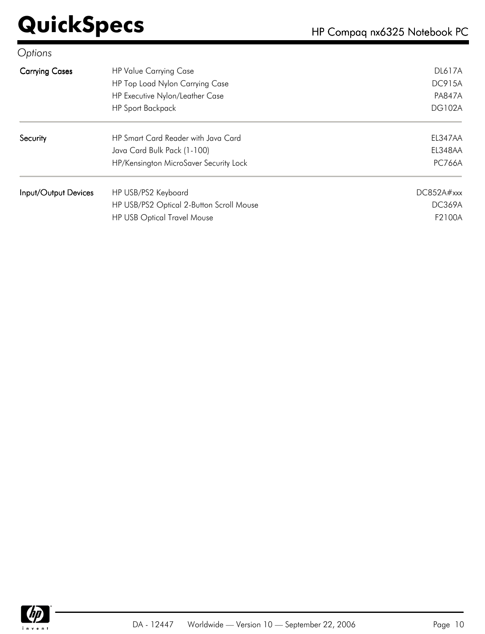| Options               |                                          |               |
|-----------------------|------------------------------------------|---------------|
| <b>Carrying Cases</b> | <b>HP Value Carrying Case</b>            | <b>DL617A</b> |
|                       | HP Top Load Nylon Carrying Case          | <b>DC915A</b> |
|                       | HP Executive Nylon/Leather Case          | <b>PA847A</b> |
|                       | <b>HP Sport Backpack</b>                 | <b>DG102A</b> |
| Security              | HP Smart Card Reader with Java Card      | EL347AA       |
|                       | Java Card Bulk Pack (1-100)              | EL348AA       |
|                       | HP/Kensington MicroSaver Security Lock   | <b>PC766A</b> |
| Input/Output Devices  | HP USB/PS2 Keyboard                      | DC852A#xxx    |
|                       | HP USB/PS2 Optical 2-Button Scroll Mouse | DC369A        |
|                       | <b>HP USB Optical Travel Mouse</b>       | F2100A        |

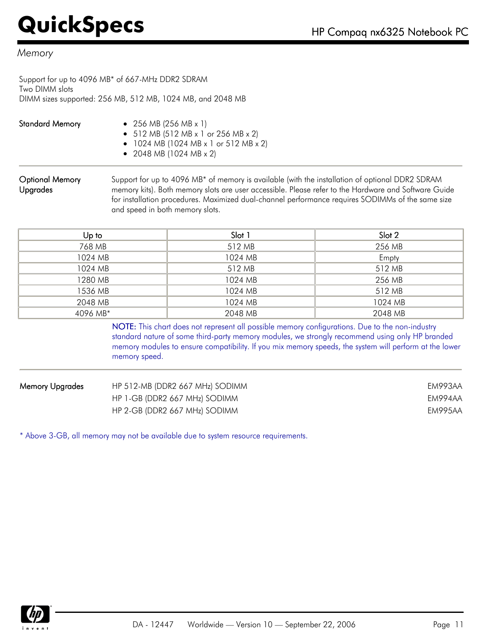#### *Memory*

Support for up to 4096 MB\* of 667-MHz DDR2 SDRAM Two DIMM slots DIMM sizes supported: 256 MB, 512 MB, 1024 MB, and 2048 MB

| <b>Standard Memory</b> | • 256 MB (256 MB $\times$ 1)          |
|------------------------|---------------------------------------|
|                        | • 512 MB (512 MB x 1 or 256 MB x 2)   |
|                        | • 1024 MB (1024 MB x 1 or 512 MB x 2) |
|                        | • 2048 MB (1024 MB $\times$ 2)        |

#### Optional Memory Upgrades

Support for up to 4096 MB\* of memory is available (with the installation of optional DDR2 SDRAM memory kits). Both memory slots are user accessible. Please refer to the Hardware and Software Guide for installation procedures. Maximized dual-channel performance requires SODIMMs of the same size and speed in both memory slots.

| Up to    | Slot 1  | Slot 2  |
|----------|---------|---------|
| 768 MB   | 512 MB  | 256 MB  |
| 1024 MB  | 1024 MB | Empty   |
| 1024 MB  | 512 MB  | 512 MB  |
| 1280 MB  | 1024 MB | 256 MB  |
| 1536 MB  | 1024 MB | 512 MB  |
| 2048 MB  | 1024 MB | 1024 MB |
| 4096 MB* | 2048 MB | 2048 MB |

NOTE: This chart does not represent all possible memory configurations. Due to the non-industry standard nature of some third-party memory modules, we strongly recommend using only HP branded memory modules to ensure compatibility. If you mix memory speeds, the system will perform at the lower memory speed.

| Memory Upgrades | HP 512-MB (DDR2 667 MHz) SODIMM | EM993AA |
|-----------------|---------------------------------|---------|
|                 | HP 1-GB (DDR2 667 MHz) SODIMM   | EM994AA |
|                 | HP 2-GB (DDR2 667 MHz) SODIMM   | EM995AA |

\* Above 3-GB, all memory may not be available due to system resource requirements.

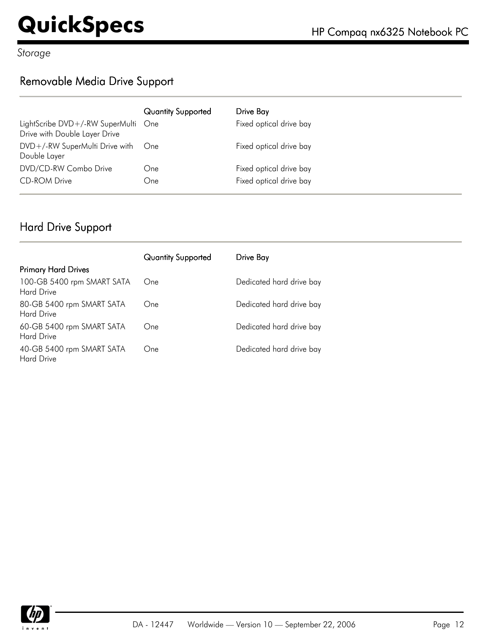*Storage*

#### Removable Media Drive Support

|                                                                      | <b>Quantity Supported</b> | Drive Bay               |
|----------------------------------------------------------------------|---------------------------|-------------------------|
| LightScribe DVD+/-RW SuperMulti One<br>Drive with Double Layer Drive |                           | Fixed optical drive bay |
| DVD+/-RW SuperMulti Drive with One<br>Double Layer                   |                           | Fixed optical drive bay |
| DVD/CD-RW Combo Drive                                                | One                       | Fixed optical drive bay |
| <b>CD-ROM Drive</b>                                                  | One                       | Fixed optical drive bay |

#### Hard Drive Support

|                                                 | <b>Quantity Supported</b> | Drive Bay                |
|-------------------------------------------------|---------------------------|--------------------------|
| <b>Primary Hard Drives</b>                      |                           |                          |
| 100-GB 5400 rpm SMART SATA<br><b>Hard Drive</b> | One                       | Dedicated hard drive bay |
| 80-GB 5400 rpm SMART SATA<br><b>Hard Drive</b>  | One                       | Dedicated hard drive bay |
| 60-GB 5400 rpm SMART SATA<br><b>Hard Drive</b>  | One                       | Dedicated hard drive bay |
| 40-GB 5400 rpm SMART SATA<br><b>Hard Drive</b>  | One                       | Dedicated hard drive bay |

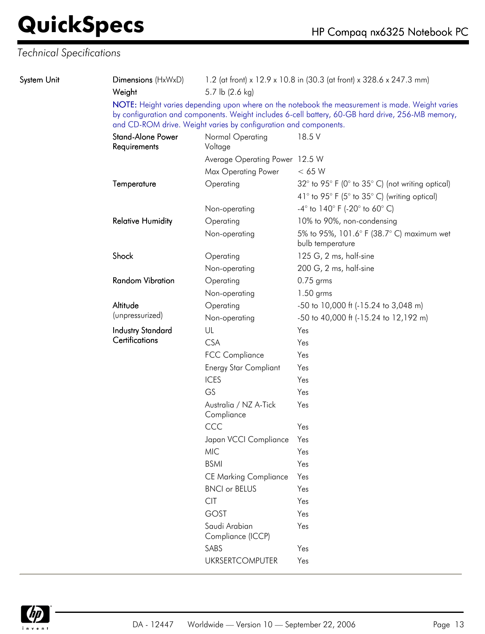| <b>Fechnical Specifications</b> |                                          |                                                                                         |                                                                                                                                                                                                      |  |
|---------------------------------|------------------------------------------|-----------------------------------------------------------------------------------------|------------------------------------------------------------------------------------------------------------------------------------------------------------------------------------------------------|--|
| System Unit                     | Dimensions (HxWxD)<br>Weight             | 1.2 (at front) x 12.9 x 10.8 in (30.3 (at front) x 328.6 x 247.3 mm)<br>5.7 lb (2.6 kg) |                                                                                                                                                                                                      |  |
|                                 |                                          | and CD-ROM drive. Weight varies by configuration and components.                        | NOTE: Height varies depending upon where on the notebook the measurement is made. Weight varies<br>by configuration and components. Weight includes 6-cell battery, 60-GB hard drive, 256-MB memory, |  |
|                                 | <b>Stand-Alone Power</b><br>Requirements | Normal Operating<br>Voltage                                                             | 18.5 V                                                                                                                                                                                               |  |
|                                 |                                          | Average Operating Power 12.5 W                                                          |                                                                                                                                                                                                      |  |
|                                 |                                          | Max Operating Power                                                                     | < 65 W                                                                                                                                                                                               |  |
|                                 | Temperature                              | Operating                                                                               | 32° to 95° F (0° to 35° C) (not writing optical)                                                                                                                                                     |  |
|                                 |                                          |                                                                                         | 41 $\degree$ to 95 $\degree$ F (5 $\degree$ to 35 $\degree$ C) (writing optical)                                                                                                                     |  |
|                                 |                                          | Non-operating                                                                           | $-4^{\circ}$ to $140^{\circ}$ F (-20 $^{\circ}$ to 60 $^{\circ}$ C)                                                                                                                                  |  |
|                                 | <b>Relative Humidity</b>                 | Operating                                                                               | 10% to 90%, non-condensing                                                                                                                                                                           |  |
|                                 |                                          | Non-operating                                                                           | 5% to 95%, 101.6° F (38.7° C) maximum wet<br>bulb temperature                                                                                                                                        |  |
|                                 | Shock                                    | Operating                                                                               | 125 G, 2 ms, half-sine                                                                                                                                                                               |  |
|                                 |                                          | Non-operating                                                                           | 200 G, 2 ms, half-sine                                                                                                                                                                               |  |
|                                 | <b>Random Vibration</b>                  | Operating                                                                               | $0.75$ grms                                                                                                                                                                                          |  |
|                                 |                                          | Non-operating                                                                           | $1.50$ grms                                                                                                                                                                                          |  |
|                                 | Altitude                                 | Operating                                                                               | -50 to 10,000 ft (-15.24 to 3,048 m)                                                                                                                                                                 |  |
|                                 | (unpressurized)                          | Non-operating                                                                           | -50 to 40,000 ft (-15.24 to 12,192 m)                                                                                                                                                                |  |
|                                 | <b>Industry Standard</b>                 | UL                                                                                      | Yes                                                                                                                                                                                                  |  |
|                                 | Certifications                           | <b>CSA</b>                                                                              | Yes                                                                                                                                                                                                  |  |
|                                 |                                          | <b>FCC Compliance</b>                                                                   | Yes                                                                                                                                                                                                  |  |
|                                 |                                          | <b>Energy Star Compliant</b>                                                            | Yes                                                                                                                                                                                                  |  |
|                                 |                                          | <b>ICES</b>                                                                             | Yes                                                                                                                                                                                                  |  |
|                                 |                                          | GS                                                                                      | Yes                                                                                                                                                                                                  |  |
|                                 |                                          | Australia / NZ A-Tick<br>Compliance                                                     | Yes                                                                                                                                                                                                  |  |
|                                 |                                          | CCC                                                                                     | Yes                                                                                                                                                                                                  |  |
|                                 |                                          | Japan VCCI Compliance                                                                   | Yes                                                                                                                                                                                                  |  |
|                                 |                                          | <b>MIC</b>                                                                              | Yes                                                                                                                                                                                                  |  |
|                                 |                                          | <b>BSMI</b>                                                                             | Yes                                                                                                                                                                                                  |  |
|                                 |                                          | <b>CE Marking Compliance</b>                                                            | Yes                                                                                                                                                                                                  |  |
|                                 |                                          | <b>BNCI or BELUS</b>                                                                    | Yes                                                                                                                                                                                                  |  |
|                                 |                                          | <b>CIT</b>                                                                              | Yes                                                                                                                                                                                                  |  |
|                                 |                                          | <b>GOST</b>                                                                             | Yes                                                                                                                                                                                                  |  |
|                                 |                                          | Saudi Arabian<br>Compliance (ICCP)                                                      | Yes                                                                                                                                                                                                  |  |
|                                 |                                          | SABS                                                                                    | Yes                                                                                                                                                                                                  |  |
|                                 |                                          | <b>UKRSERTCOMPUTER</b>                                                                  | Yes                                                                                                                                                                                                  |  |

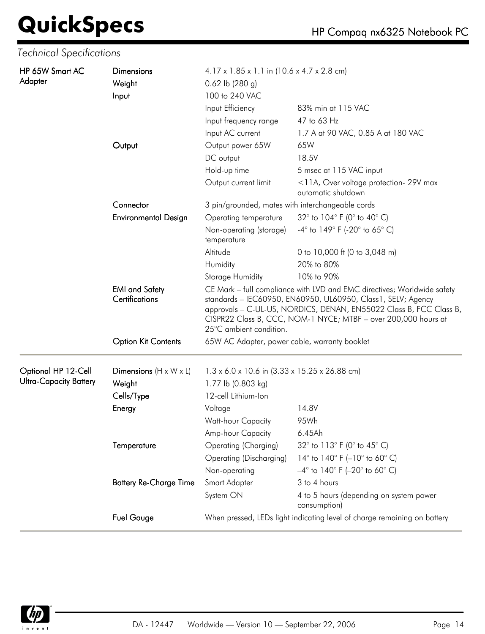| <b>Technical Specifications</b> |                                                |                                                                                                                                                                                                                                                                                                            |                                                                      |  |
|---------------------------------|------------------------------------------------|------------------------------------------------------------------------------------------------------------------------------------------------------------------------------------------------------------------------------------------------------------------------------------------------------------|----------------------------------------------------------------------|--|
| HP 65W Smart AC<br>Adapter      | <b>Dimensions</b><br>Weight<br>Input           | $4.17 \times 1.85 \times 1.1$ in (10.6 x 4.7 x 2.8 cm)<br>$0.62$ lb (280 g)<br>100 to 240 VAC                                                                                                                                                                                                              |                                                                      |  |
|                                 |                                                | Input Efficiency<br>Input frequency range                                                                                                                                                                                                                                                                  | 83% min at 115 VAC<br>47 to 63 Hz                                    |  |
|                                 |                                                | Input AC current                                                                                                                                                                                                                                                                                           | 1.7 A at 90 VAC, 0.85 A at 180 VAC                                   |  |
|                                 | Output                                         | Output power 65W                                                                                                                                                                                                                                                                                           | 65W                                                                  |  |
|                                 |                                                | DC output                                                                                                                                                                                                                                                                                                  | 18.5V                                                                |  |
|                                 |                                                | Hold-up time                                                                                                                                                                                                                                                                                               | 5 msec at 115 VAC input                                              |  |
|                                 |                                                | Output current limit                                                                                                                                                                                                                                                                                       | <11A, Over voltage protection- 29V max<br>automatic shutdown         |  |
|                                 | Connector                                      | 3 pin/grounded, mates with interchangeable cords                                                                                                                                                                                                                                                           |                                                                      |  |
|                                 | <b>Environmental Design</b>                    | Operating temperature                                                                                                                                                                                                                                                                                      | 32° to 104° F (0° to 40° C)                                          |  |
|                                 |                                                | Non-operating (storage)<br>temperature                                                                                                                                                                                                                                                                     | $-4^{\circ}$ to 149 $^{\circ}$ F (-20 $^{\circ}$ to 65 $^{\circ}$ C) |  |
|                                 |                                                | Altitude                                                                                                                                                                                                                                                                                                   | 0 to 10,000 ft (0 to 3,048 m)                                        |  |
|                                 |                                                | Humidity                                                                                                                                                                                                                                                                                                   | 20% to 80%                                                           |  |
|                                 |                                                | Storage Humidity                                                                                                                                                                                                                                                                                           | 10% to 90%                                                           |  |
|                                 | <b>EMI</b> and Safety<br><b>Certifications</b> | CE Mark - full compliance with LVD and EMC directives; Worldwide safety<br>standards - IEC60950, EN60950, UL60950, Class1, SELV; Agency<br>approvals - C-UL-US, NORDICS, DENAN, EN55022 Class B, FCC Class B,<br>CISPR22 Class B, CCC, NOM-1 NYCE; MTBF - over 200,000 hours at<br>25°C ambient condition. |                                                                      |  |
|                                 | <b>Option Kit Contents</b>                     | 65W AC Adapter, power cable, warranty booklet                                                                                                                                                                                                                                                              |                                                                      |  |
| Optional HP 12-Cell             | Dimensions $(H \times W \times L)$             | 1.3 x 6.0 x 10.6 in (3.33 x 15.25 x 26.88 cm)                                                                                                                                                                                                                                                              |                                                                      |  |
| <b>Ultra-Capacity Battery</b>   | Weight                                         | 1.77 lb (0.803 kg)                                                                                                                                                                                                                                                                                         |                                                                      |  |
|                                 | Cells/Type                                     | 12-cell Lithium-Ion                                                                                                                                                                                                                                                                                        |                                                                      |  |
|                                 | Energy                                         | Voltage                                                                                                                                                                                                                                                                                                    | 14.8V                                                                |  |
|                                 |                                                | Watt-hour Capacity                                                                                                                                                                                                                                                                                         | 95Wh                                                                 |  |
|                                 |                                                | Amp-hour Capacity                                                                                                                                                                                                                                                                                          | 6.45Ah                                                               |  |
|                                 | Temperature                                    | Operating (Charging)                                                                                                                                                                                                                                                                                       | 32° to 113° F (0° to 45° C)                                          |  |
|                                 |                                                | <b>Operating (Discharging)</b>                                                                                                                                                                                                                                                                             | 14 $\degree$ to 140 $\degree$ F (-10 $\degree$ to 60 $\degree$ C)    |  |
|                                 |                                                | Non-operating                                                                                                                                                                                                                                                                                              | $-4^{\circ}$ to 140° F (-20° to 60° C)                               |  |
|                                 | <b>Battery Re-Charge Time</b>                  | Smart Adapter                                                                                                                                                                                                                                                                                              | 3 to 4 hours                                                         |  |
|                                 |                                                | System ON                                                                                                                                                                                                                                                                                                  | 4 to 5 hours (depending on system power<br>consumption)              |  |
|                                 | <b>Fuel Gauge</b>                              | When pressed, LEDs light indicating level of charge remaining on battery                                                                                                                                                                                                                                   |                                                                      |  |

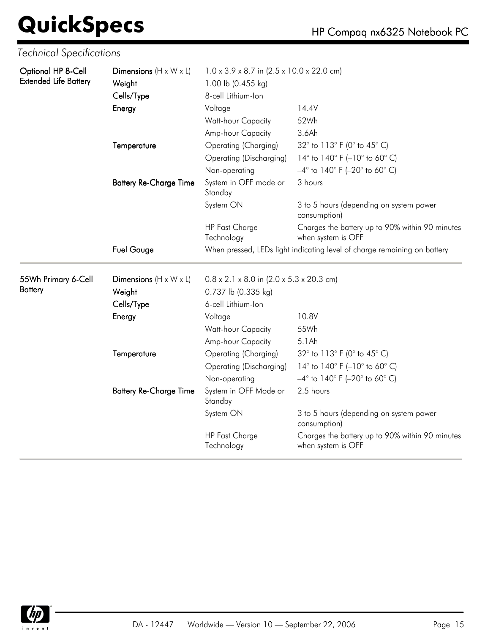| <b>Technical Specifications</b>                    |                                                            |                                                                                                   |                                                                                                                                            |  |
|----------------------------------------------------|------------------------------------------------------------|---------------------------------------------------------------------------------------------------|--------------------------------------------------------------------------------------------------------------------------------------------|--|
| Optional HP 8-Cell<br><b>Extended Life Battery</b> | Dimensions $(H \times W \times L)$<br>Weight<br>Cells/Type | 1.0 x 3.9 x 8.7 in (2.5 x 10.0 x 22.0 cm)<br>1.00 lb (0.455 kg)<br>8-cell Lithium-Ion             |                                                                                                                                            |  |
|                                                    | Energy                                                     | Voltage<br>Watt-hour Capacity<br>Amp-hour Capacity                                                | 14.4V<br>52Wh<br>3.6Ah                                                                                                                     |  |
|                                                    | Temperature                                                | Operating (Charging)<br>Operating (Discharging)<br>Non-operating                                  | 32° to 113° F (0° to 45° C)<br>14 $\degree$ to 140 $\degree$ F (-10 $\degree$ to 60 $\degree$ C)<br>$-4^{\circ}$ to 140° F (-20° to 60° C) |  |
|                                                    | <b>Battery Re-Charge Time</b>                              | System in OFF mode or<br>Standby                                                                  | 3 hours                                                                                                                                    |  |
|                                                    |                                                            | System ON                                                                                         | 3 to 5 hours (depending on system power<br>consumption)                                                                                    |  |
|                                                    |                                                            | <b>HP Fast Charge</b><br>Technology                                                               | Charges the battery up to 90% within 90 minutes<br>when system is OFF                                                                      |  |
|                                                    | <b>Fuel Gauge</b>                                          | When pressed, LEDs light indicating level of charge remaining on battery                          |                                                                                                                                            |  |
| 55Wh Primary 6-Cell<br><b>Battery</b>              | Dimensions $(H \times W \times L)$<br>Weight<br>Cells/Type | $0.8 \times 2.1 \times 8.0$ in (2.0 x 5.3 x 20.3 cm)<br>0.737 lb (0.335 kg)<br>6-cell Lithium-Ion |                                                                                                                                            |  |
|                                                    | Energy                                                     | Voltage<br>Watt-hour Capacity<br>Amp-hour Capacity                                                | 10.8V<br>55Wh<br>5.1Ah                                                                                                                     |  |
|                                                    | Temperature                                                | Operating (Charging)<br>Operating (Discharging)<br>Non-operating                                  | 32° to 113° F (0° to 45° C)<br>14° to 140° F (-10° to 60° C)<br>$-4^{\circ}$ to 140° F (-20° to 60° C)                                     |  |
|                                                    | <b>Battery Re-Charge Time</b>                              | System in OFF Mode or<br>Standby                                                                  | 2.5 hours                                                                                                                                  |  |
|                                                    |                                                            | System ON                                                                                         | 3 to 5 hours (depending on system power<br>consumption)                                                                                    |  |
|                                                    |                                                            | <b>HP Fast Charge</b><br>Technology                                                               | Charges the battery up to 90% within 90 minutes<br>when system is OFF                                                                      |  |

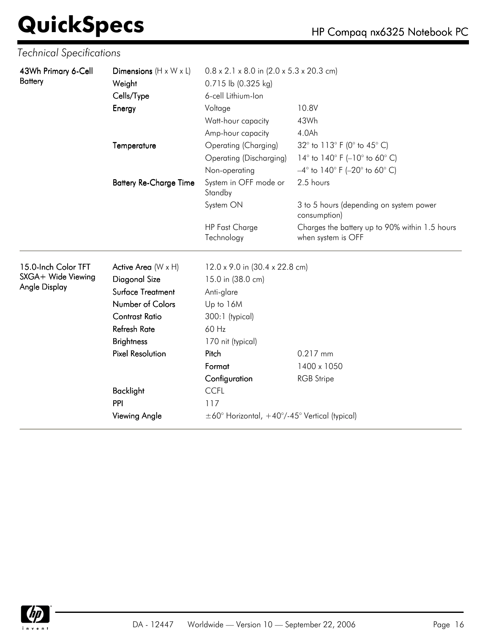| Technical Specifications              |                                                            |                                                                                                   |                                                                      |  |
|---------------------------------------|------------------------------------------------------------|---------------------------------------------------------------------------------------------------|----------------------------------------------------------------------|--|
| 43Wh Primary 6-Cell<br><b>Battery</b> | Dimensions $(H \times W \times L)$<br>Weight<br>Cells/Type | $0.8 \times 2.1 \times 8.0$ in (2.0 x 5.3 x 20.3 cm)<br>0.715 lb (0.325 kg)<br>6-cell Lithium-Ion |                                                                      |  |
|                                       | Energy                                                     | Voltage                                                                                           | 10.8V                                                                |  |
|                                       |                                                            | Watt-hour capacity                                                                                | 43Wh                                                                 |  |
|                                       |                                                            | Amp-hour capacity                                                                                 | 4.0Ah                                                                |  |
|                                       | Temperature                                                | Operating (Charging)                                                                              | 32° to 113° F (0° to 45° C)                                          |  |
|                                       |                                                            | <b>Operating (Discharging)</b>                                                                    | 14 $\degree$ to 140 $\degree$ F (-10 $\degree$ to 60 $\degree$ C)    |  |
|                                       |                                                            | Non-operating                                                                                     | $-4^{\circ}$ to 140° F (-20° to 60° C)                               |  |
|                                       | <b>Battery Re-Charge Time</b>                              | System in OFF mode or<br>Standby                                                                  | 2.5 hours                                                            |  |
|                                       |                                                            | System ON                                                                                         | 3 to 5 hours (depending on system power<br>consumption)              |  |
|                                       |                                                            | <b>HP Fast Charge</b><br>Technology                                                               | Charges the battery up to 90% within 1.5 hours<br>when system is OFF |  |
| 15.0-Inch Color TFT                   | Active Area $(W \times H)$                                 | 12.0 x 9.0 in (30.4 x 22.8 cm)                                                                    |                                                                      |  |
| SXGA+ Wide Viewing                    | Diagonal Size                                              | 15.0 in (38.0 cm)                                                                                 |                                                                      |  |
| Angle Display                         | Surface Treatment                                          | Anti-glare                                                                                        |                                                                      |  |
|                                       | Number of Colors                                           | Up to 16M                                                                                         |                                                                      |  |
|                                       | <b>Contrast Ratio</b>                                      | 300:1 (typical)                                                                                   |                                                                      |  |
|                                       | <b>Refresh Rate</b>                                        | 60 Hz                                                                                             |                                                                      |  |
|                                       | <b>Brightness</b>                                          | 170 nit (typical)                                                                                 |                                                                      |  |
|                                       | <b>Pixel Resolution</b>                                    | Pitch                                                                                             | 0.217 mm                                                             |  |
|                                       |                                                            | Format                                                                                            | 1400 x 1050                                                          |  |
|                                       |                                                            | Configuration                                                                                     | <b>RGB</b> Stripe                                                    |  |
|                                       | <b>Backlight</b>                                           | <b>CCFL</b>                                                                                       |                                                                      |  |
|                                       | PPI                                                        | 117                                                                                               |                                                                      |  |
|                                       | Viewing Angle                                              | $\pm 60^{\circ}$ Horizontal, $+40^{\circ}/-45^{\circ}$ Vertical (typical)                         |                                                                      |  |

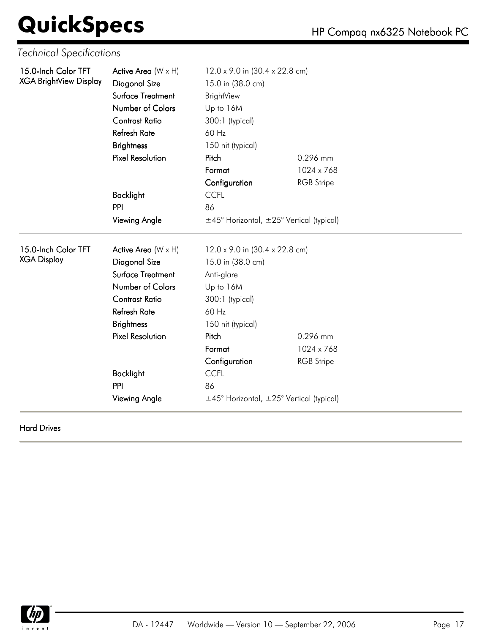| <b>Technical Specifications</b>                      |                                                                                                                                                                               |                                                                                                                                                 |                   |  |
|------------------------------------------------------|-------------------------------------------------------------------------------------------------------------------------------------------------------------------------------|-------------------------------------------------------------------------------------------------------------------------------------------------|-------------------|--|
| 15.0-Inch Color TFT<br><b>XGA BrightView Display</b> | Active Area (W x H)<br>Diagonal Size<br>Surface Treatment<br>Number of Colors<br><b>Contrast Ratio</b><br><b>Refresh Rate</b><br><b>Brightness</b><br><b>Pixel Resolution</b> | 12.0 x 9.0 in (30.4 x 22.8 cm)<br>15.0 in (38.0 cm)<br><b>BrightView</b><br>Up to 16M<br>300:1 (typical)<br>60 Hz<br>150 nit (typical)<br>Pitch | 0.296 mm          |  |
|                                                      |                                                                                                                                                                               | Format                                                                                                                                          | 1024 x 768        |  |
|                                                      |                                                                                                                                                                               | Configuration                                                                                                                                   | <b>RGB</b> Stripe |  |
|                                                      | <b>Backlight</b>                                                                                                                                                              | <b>CCFL</b>                                                                                                                                     |                   |  |
|                                                      | PPI                                                                                                                                                                           | 86                                                                                                                                              |                   |  |
|                                                      | <b>Viewing Angle</b>                                                                                                                                                          | $\pm$ 45° Horizontal, $\pm$ 25° Vertical (typical)                                                                                              |                   |  |
| 15.0-lnch Color TFT                                  | Active Area (W x H)                                                                                                                                                           | 12.0 x 9.0 in (30.4 x 22.8 cm)                                                                                                                  |                   |  |
| <b>XGA Display</b>                                   | Diagonal Size                                                                                                                                                                 | 15.0 in (38.0 cm)                                                                                                                               |                   |  |
|                                                      | Surface Treatment                                                                                                                                                             | Anti-glare                                                                                                                                      |                   |  |
|                                                      | Number of Colors                                                                                                                                                              | Up to 16M                                                                                                                                       |                   |  |
|                                                      | <b>Contrast Ratio</b>                                                                                                                                                         | 300:1 (typical)                                                                                                                                 |                   |  |
|                                                      | <b>Refresh Rate</b>                                                                                                                                                           | 60 Hz                                                                                                                                           |                   |  |
|                                                      | <b>Brightness</b>                                                                                                                                                             | 150 nit (typical)                                                                                                                               |                   |  |
|                                                      | <b>Pixel Resolution</b>                                                                                                                                                       | Pitch                                                                                                                                           | 0.296 mm          |  |
|                                                      |                                                                                                                                                                               | Format                                                                                                                                          | 1024 x 768        |  |
|                                                      |                                                                                                                                                                               | Configuration                                                                                                                                   | <b>RGB</b> Stripe |  |
|                                                      | <b>Backlight</b>                                                                                                                                                              | <b>CCFL</b>                                                                                                                                     |                   |  |
|                                                      | PPI                                                                                                                                                                           | 86                                                                                                                                              |                   |  |
|                                                      | <b>Viewing Angle</b>                                                                                                                                                          | $\pm$ 45° Horizontal, $\pm$ 25° Vertical (typical)                                                                                              |                   |  |

Hard Drives

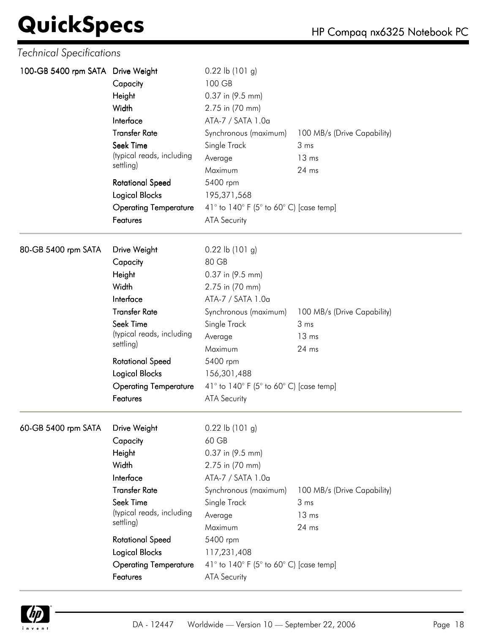| <b>Technical Specifications</b>   |                                                                                                                                                                                                                                         |                                                                                                                                                                                                                                                                                              |                                                                    |
|-----------------------------------|-----------------------------------------------------------------------------------------------------------------------------------------------------------------------------------------------------------------------------------------|----------------------------------------------------------------------------------------------------------------------------------------------------------------------------------------------------------------------------------------------------------------------------------------------|--------------------------------------------------------------------|
| 100-GB 5400 rpm SATA Drive Weight | Capacity<br>Height<br>Width<br>Interface<br><b>Transfer Rate</b><br>Seek Time<br>(typical reads, including<br>settling)<br><b>Rotational Speed</b><br><b>Logical Blocks</b><br><b>Operating Temperature</b><br>Features                 | $0.22$ lb $(101)$ g)<br>100 GB<br>0.37 in (9.5 mm)<br>2.75 in (70 mm)<br>ATA-7 / SATA 1.0a<br>Synchronous (maximum)<br>Single Track<br>Average<br>Maximum<br>5400 rpm<br>195, 371, 568<br>41 $\degree$ to 140 $\degree$ F (5 $\degree$ to 60 $\degree$ C) [case temp]<br><b>ATA Security</b> | 100 MB/s (Drive Capability)<br>3 ms<br>13 <sub>ms</sub><br>24 ms   |
| 80-GB 5400 rpm SATA               | Drive Weight<br>Capacity<br>Height<br>Width<br>Interface<br><b>Transfer Rate</b><br>Seek Time<br>(typical reads, including<br>settling)<br><b>Rotational Speed</b><br><b>Logical Blocks</b><br><b>Operating Temperature</b><br>Features | $0.22$ lb $(101)$ g)<br>80 GB<br>0.37 in (9.5 mm)<br>2.75 in (70 mm)<br>ATA-7 / SATA 1.0a<br>Synchronous (maximum)<br>Single Track<br>Average<br>Maximum<br>5400 rpm<br>156,301,488<br>41 $\degree$ to 140 $\degree$ F (5 $\degree$ to 60 $\degree$ C) [case temp]<br><b>ATA Security</b>    | 100 MB/s (Drive Capability)<br>3 ms<br>13 <sub>ms</sub><br>$24$ ms |
| 60-GB 5400 rpm SATA               | Drive Weight<br>Capacity<br>Height<br>Width<br>Interface<br><b>Transfer Rate</b><br>Seek Time<br>(typical reads, including<br>settling)<br><b>Rotational Speed</b><br><b>Logical Blocks</b><br><b>Operating Temperature</b><br>Features | $0.22$ lb $(101)$ g)<br>60 GB<br>0.37 in (9.5 mm)<br>2.75 in (70 mm)<br>ATA-7 / SATA 1.0a<br>Synchronous (maximum)<br>Single Track<br>Average<br>Maximum<br>5400 rpm<br>117,231,408<br>41 $\degree$ to 140 $\degree$ F (5 $\degree$ to 60 $\degree$ C) [case temp]<br><b>ATA Security</b>    | 100 MB/s (Drive Capability)<br>3 ms<br>13 ms<br>24 ms              |

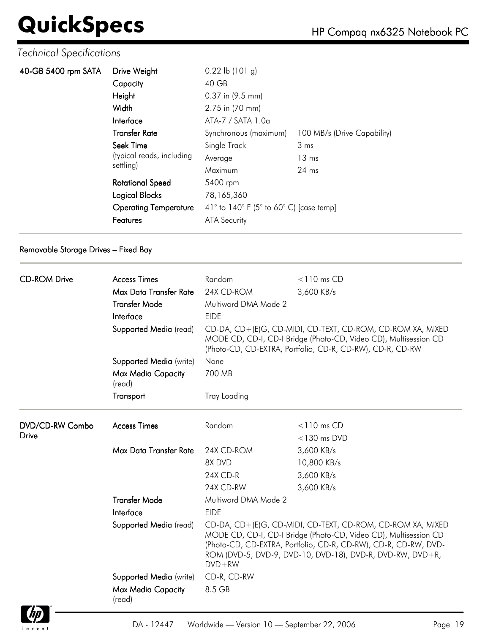#### *Technical Specifications*

| 40-GB 5400 rpm SATA | Drive Weight                                        | $0.22$ lb $(101)$ g)                                                        |                             |  |
|---------------------|-----------------------------------------------------|-----------------------------------------------------------------------------|-----------------------------|--|
|                     | Capacity                                            | 40 GB                                                                       |                             |  |
|                     | Height                                              | 0.37 in (9.5 mm)                                                            |                             |  |
|                     | Width                                               | 2.75 in (70 mm)                                                             |                             |  |
|                     | Interface                                           | ATA-7 / SATA 1.0a                                                           |                             |  |
|                     | <b>Transfer Rate</b>                                | Synchronous (maximum)                                                       | 100 MB/s (Drive Capability) |  |
|                     | Seek Time<br>(typical reads, including<br>settling) | Single Track                                                                | 3 ms                        |  |
|                     |                                                     | Average                                                                     | $13 \text{ ms}$             |  |
|                     |                                                     | Maximum                                                                     | $24 \text{ ms}$             |  |
|                     | <b>Rotational Speed</b>                             | 5400 rpm                                                                    |                             |  |
|                     | Logical Blocks                                      | 78,165,360                                                                  |                             |  |
|                     | <b>Operating Temperature</b>                        | 41 $\degree$ to 140 $\degree$ F (5 $\degree$ to 60 $\degree$ C) [case temp] |                             |  |
|                     | Features                                            | <b>ATA Security</b>                                                         |                             |  |
|                     |                                                     |                                                                             |                             |  |

#### Removable Storage Drives – Fixed Bay

|                     | <b>Access Times</b>                 |                                                                                                                                                                                                                                                                              |                |  |
|---------------------|-------------------------------------|------------------------------------------------------------------------------------------------------------------------------------------------------------------------------------------------------------------------------------------------------------------------------|----------------|--|
| <b>CD-ROM Drive</b> | Max Data Transfer Rate              | Random<br>24X CD-ROM                                                                                                                                                                                                                                                         | $<$ 110 ms CD  |  |
|                     |                                     |                                                                                                                                                                                                                                                                              | 3,600 KB/s     |  |
|                     | <b>Transfer Mode</b>                | Multiword DMA Mode 2                                                                                                                                                                                                                                                         |                |  |
|                     | Interface                           | <b>EIDE</b>                                                                                                                                                                                                                                                                  |                |  |
|                     | Supported Media (read)              | CD-DA, CD+(E)G, CD-MIDI, CD-TEXT, CD-ROM, CD-ROM XA, MIXED<br>MODE CD, CD-I, CD-I Bridge (Photo-CD, Video CD), Multisession CD<br>(Photo-CD, CD-EXTRA, Portfolio, CD-R, CD-RW), CD-R, CD-RW                                                                                  |                |  |
|                     | Supported Media (write)             | None                                                                                                                                                                                                                                                                         |                |  |
|                     | Max Media Capacity<br>(read)        | 700 MB                                                                                                                                                                                                                                                                       |                |  |
|                     | Transport                           | <b>Tray Loading</b>                                                                                                                                                                                                                                                          |                |  |
| DVD/CD-RW Combo     | <b>Access Times</b>                 | Random                                                                                                                                                                                                                                                                       | $<$ 110 ms CD  |  |
| <b>Drive</b>        |                                     |                                                                                                                                                                                                                                                                              | $<$ 130 ms DVD |  |
|                     | Max Data Transfer Rate              | 24X CD-ROM                                                                                                                                                                                                                                                                   | 3,600 KB/s     |  |
|                     |                                     | 8X DVD                                                                                                                                                                                                                                                                       | 10,800 KB/s    |  |
|                     |                                     | 24X CD-R                                                                                                                                                                                                                                                                     | 3,600 KB/s     |  |
|                     |                                     | 24X CD-RW                                                                                                                                                                                                                                                                    | 3,600 KB/s     |  |
|                     | <b>Transfer Mode</b>                | Multiword DMA Mode 2                                                                                                                                                                                                                                                         |                |  |
|                     | Interface                           | <b>EIDE</b>                                                                                                                                                                                                                                                                  |                |  |
|                     | Supported Media (read)              | CD-DA, CD+(E)G, CD-MIDI, CD-TEXT, CD-ROM, CD-ROM XA, MIXED<br>MODE CD, CD-I, CD-I Bridge (Photo-CD, Video CD), Multisession CD<br>(Photo-CD, CD-EXTRA, Portfolio, CD-R, CD-RW), CD-R, CD-RW, DVD-<br>ROM (DVD-5, DVD-9, DVD-10, DVD-18), DVD-R, DVD-RW, DVD+R,<br>$DVD + RW$ |                |  |
|                     | Supported Media (write)             | CD-R, CD-RW                                                                                                                                                                                                                                                                  |                |  |
|                     | <b>Max Media Capacity</b><br>(read) | 8.5 GB                                                                                                                                                                                                                                                                       |                |  |

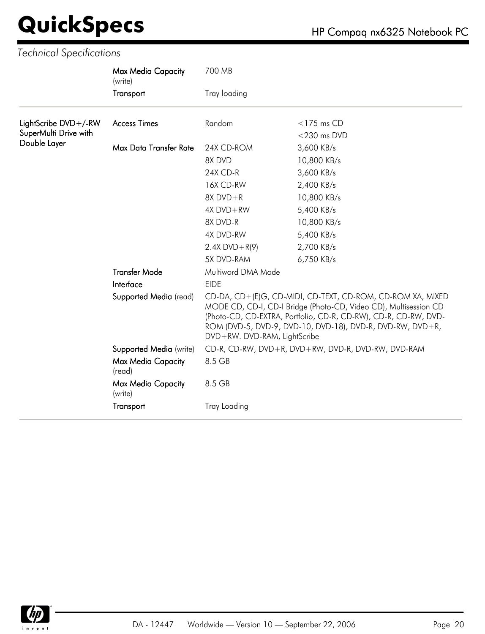|                       | Max Media Capacity<br>(write)        | 700 MB                                                                                                                                                                                                                                                                                         |                                                    |  |
|-----------------------|--------------------------------------|------------------------------------------------------------------------------------------------------------------------------------------------------------------------------------------------------------------------------------------------------------------------------------------------|----------------------------------------------------|--|
|                       | Transport                            | Tray loading                                                                                                                                                                                                                                                                                   |                                                    |  |
| LightScribe DVD+/-RW  | <b>Access Times</b>                  | Random                                                                                                                                                                                                                                                                                         | $<$ 175 ms CD                                      |  |
| SuperMulti Drive with |                                      |                                                                                                                                                                                                                                                                                                | $<$ 230 ms DVD                                     |  |
| Double Layer          | Max Data Transfer Rate               | 24X CD-ROM                                                                                                                                                                                                                                                                                     | 3,600 KB/s                                         |  |
|                       |                                      | 8X DVD                                                                                                                                                                                                                                                                                         | 10,800 KB/s                                        |  |
|                       |                                      | 24X CD-R                                                                                                                                                                                                                                                                                       | 3,600 KB/s                                         |  |
|                       |                                      | 16X CD-RW                                                                                                                                                                                                                                                                                      | 2,400 KB/s                                         |  |
|                       |                                      | $8X$ DVD + R                                                                                                                                                                                                                                                                                   | 10,800 KB/s                                        |  |
|                       |                                      | 4X DVD+RW                                                                                                                                                                                                                                                                                      | 5,400 KB/s                                         |  |
|                       |                                      | 8X DVD-R                                                                                                                                                                                                                                                                                       | 10,800 KB/s                                        |  |
|                       |                                      | 4X DVD-RW                                                                                                                                                                                                                                                                                      | 5,400 KB/s                                         |  |
|                       |                                      | $2.4X$ DVD + R(9)                                                                                                                                                                                                                                                                              | 2,700 KB/s                                         |  |
|                       |                                      | 5X DVD-RAM                                                                                                                                                                                                                                                                                     | 6,750 KB/s                                         |  |
|                       | <b>Transfer Mode</b>                 | Multiword DMA Mode                                                                                                                                                                                                                                                                             |                                                    |  |
|                       | Interface                            | <b>EIDE</b>                                                                                                                                                                                                                                                                                    |                                                    |  |
|                       | Supported Media (read)               | CD-DA, CD+(E)G, CD-MIDI, CD-TEXT, CD-ROM, CD-ROM XA, MIXED<br>MODE CD, CD-I, CD-I Bridge (Photo-CD, Video CD), Multisession CD<br>(Photo-CD, CD-EXTRA, Portfolio, CD-R, CD-RW), CD-R, CD-RW, DVD-<br>ROM (DVD-5, DVD-9, DVD-10, DVD-18), DVD-R, DVD-RW, DVD+R,<br>DVD+RW. DVD-RAM, LightScribe |                                                    |  |
|                       | Supported Media (write)              |                                                                                                                                                                                                                                                                                                | CD-R, CD-RW, DVD+R, DVD+RW, DVD-R, DVD-RW, DVD-RAM |  |
|                       | Max Media Capacity<br>(read)         | 8.5 GB                                                                                                                                                                                                                                                                                         |                                                    |  |
|                       | <b>Max Media Capacity</b><br>(write) | 8.5 GB                                                                                                                                                                                                                                                                                         |                                                    |  |
|                       | Transport                            | <b>Tray Loading</b>                                                                                                                                                                                                                                                                            |                                                    |  |

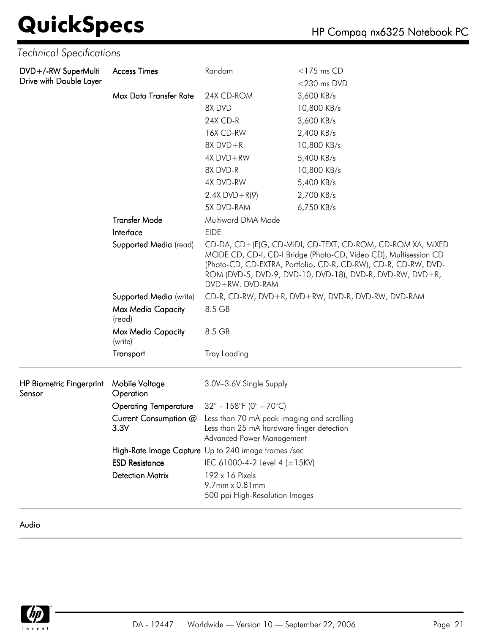### **QuickSpecs**

*Technical Specifications*

|  |  | HP Compaq nx6325 Notebook PC |
|--|--|------------------------------|
|--|--|------------------------------|

| Max Data Transfer Rate<br>24X CD-ROM<br>3,600 KB/s<br>8X DVD<br>10,800 KB/s<br>24X CD-R<br>3,600 KB/s<br>16X CD-RW<br>2,400 KB/s<br>$8X$ DVD + R<br>10,800 KB/s<br>$4X DVD + RW$<br>5,400 KB/s<br>8X DVD-R<br>10,800 KB/s<br>4X DVD-RW<br>5,400 KB/s<br>$2.4X$ DVD + R(9)<br>2,700 KB/s<br>5X DVD-RAM<br>6,750 KB/s<br><b>Transfer Mode</b><br>Multiword DMA Mode<br>Interface<br><b>EIDE</b><br>Supported Media (read)<br>CD-DA, CD+(E)G, CD-MIDI, CD-TEXT, CD-ROM, CD-ROM XA, MIXED<br>MODE CD, CD-I, CD-I Bridge (Photo-CD, Video CD), Multisession CD<br>(Photo-CD, CD-EXTRA, Portfolio, CD-R, CD-RW), CD-R, CD-RW, DVD-<br>ROM (DVD-5, DVD-9, DVD-10, DVD-18), DVD-R, DVD-RW, DVD+R,<br>DVD+RW, DVD-RAM<br>CD-R, CD-RW, DVD+R, DVD+RW, DVD-R, DVD-RW, DVD-RAM<br>Supported Media (write)<br>8.5 GB<br>Max Media Capacity<br>(read)<br>8.5 GB<br>Max Media Capacity<br>(write)<br>Transport<br><b>Tray Loading</b><br>3.0V-3.6V Single Supply<br>Mobile Voltage<br>Sensor<br>Operation<br>$32^{\circ} - 158^{\circ}F (0^{\circ} - 70^{\circ}C)$<br><b>Operating Temperature</b><br>Less than 70 mA peak imaging and scrolling<br>Current Consumption @<br>3.3V<br>Less than 25 mA hardware finger detection<br>Advanced Power Management<br>High-Rate Image Capture Up to 240 image frames /sec<br><b>ESD Resistance</b><br>IEC 61000-4-2 Level 4 $(\pm 15KV)$<br><b>Detection Matrix</b><br>192 x 16 Pixels | DVD+/-RW SuperMulti<br>Drive with Double Layer | <b>Access Times</b> | Random         | $<$ 175 ms CD<br>$<$ 230 ms DVD |
|------------------------------------------------------------------------------------------------------------------------------------------------------------------------------------------------------------------------------------------------------------------------------------------------------------------------------------------------------------------------------------------------------------------------------------------------------------------------------------------------------------------------------------------------------------------------------------------------------------------------------------------------------------------------------------------------------------------------------------------------------------------------------------------------------------------------------------------------------------------------------------------------------------------------------------------------------------------------------------------------------------------------------------------------------------------------------------------------------------------------------------------------------------------------------------------------------------------------------------------------------------------------------------------------------------------------------------------------------------------------------------------------------------------|------------------------------------------------|---------------------|----------------|---------------------------------|
|                                                                                                                                                                                                                                                                                                                                                                                                                                                                                                                                                                                                                                                                                                                                                                                                                                                                                                                                                                                                                                                                                                                                                                                                                                                                                                                                                                                                                  |                                                |                     |                |                                 |
|                                                                                                                                                                                                                                                                                                                                                                                                                                                                                                                                                                                                                                                                                                                                                                                                                                                                                                                                                                                                                                                                                                                                                                                                                                                                                                                                                                                                                  |                                                |                     |                |                                 |
|                                                                                                                                                                                                                                                                                                                                                                                                                                                                                                                                                                                                                                                                                                                                                                                                                                                                                                                                                                                                                                                                                                                                                                                                                                                                                                                                                                                                                  |                                                |                     |                |                                 |
|                                                                                                                                                                                                                                                                                                                                                                                                                                                                                                                                                                                                                                                                                                                                                                                                                                                                                                                                                                                                                                                                                                                                                                                                                                                                                                                                                                                                                  |                                                |                     |                |                                 |
|                                                                                                                                                                                                                                                                                                                                                                                                                                                                                                                                                                                                                                                                                                                                                                                                                                                                                                                                                                                                                                                                                                                                                                                                                                                                                                                                                                                                                  |                                                |                     |                |                                 |
|                                                                                                                                                                                                                                                                                                                                                                                                                                                                                                                                                                                                                                                                                                                                                                                                                                                                                                                                                                                                                                                                                                                                                                                                                                                                                                                                                                                                                  |                                                |                     |                |                                 |
|                                                                                                                                                                                                                                                                                                                                                                                                                                                                                                                                                                                                                                                                                                                                                                                                                                                                                                                                                                                                                                                                                                                                                                                                                                                                                                                                                                                                                  |                                                |                     |                |                                 |
|                                                                                                                                                                                                                                                                                                                                                                                                                                                                                                                                                                                                                                                                                                                                                                                                                                                                                                                                                                                                                                                                                                                                                                                                                                                                                                                                                                                                                  |                                                |                     |                |                                 |
|                                                                                                                                                                                                                                                                                                                                                                                                                                                                                                                                                                                                                                                                                                                                                                                                                                                                                                                                                                                                                                                                                                                                                                                                                                                                                                                                                                                                                  |                                                |                     |                |                                 |
|                                                                                                                                                                                                                                                                                                                                                                                                                                                                                                                                                                                                                                                                                                                                                                                                                                                                                                                                                                                                                                                                                                                                                                                                                                                                                                                                                                                                                  |                                                |                     |                |                                 |
|                                                                                                                                                                                                                                                                                                                                                                                                                                                                                                                                                                                                                                                                                                                                                                                                                                                                                                                                                                                                                                                                                                                                                                                                                                                                                                                                                                                                                  |                                                |                     |                |                                 |
|                                                                                                                                                                                                                                                                                                                                                                                                                                                                                                                                                                                                                                                                                                                                                                                                                                                                                                                                                                                                                                                                                                                                                                                                                                                                                                                                                                                                                  |                                                |                     |                |                                 |
|                                                                                                                                                                                                                                                                                                                                                                                                                                                                                                                                                                                                                                                                                                                                                                                                                                                                                                                                                                                                                                                                                                                                                                                                                                                                                                                                                                                                                  |                                                |                     |                |                                 |
|                                                                                                                                                                                                                                                                                                                                                                                                                                                                                                                                                                                                                                                                                                                                                                                                                                                                                                                                                                                                                                                                                                                                                                                                                                                                                                                                                                                                                  |                                                |                     |                |                                 |
|                                                                                                                                                                                                                                                                                                                                                                                                                                                                                                                                                                                                                                                                                                                                                                                                                                                                                                                                                                                                                                                                                                                                                                                                                                                                                                                                                                                                                  |                                                |                     |                |                                 |
|                                                                                                                                                                                                                                                                                                                                                                                                                                                                                                                                                                                                                                                                                                                                                                                                                                                                                                                                                                                                                                                                                                                                                                                                                                                                                                                                                                                                                  |                                                |                     |                |                                 |
|                                                                                                                                                                                                                                                                                                                                                                                                                                                                                                                                                                                                                                                                                                                                                                                                                                                                                                                                                                                                                                                                                                                                                                                                                                                                                                                                                                                                                  |                                                |                     |                |                                 |
|                                                                                                                                                                                                                                                                                                                                                                                                                                                                                                                                                                                                                                                                                                                                                                                                                                                                                                                                                                                                                                                                                                                                                                                                                                                                                                                                                                                                                  |                                                |                     |                |                                 |
|                                                                                                                                                                                                                                                                                                                                                                                                                                                                                                                                                                                                                                                                                                                                                                                                                                                                                                                                                                                                                                                                                                                                                                                                                                                                                                                                                                                                                  | <b>HP Biometric Fingerprint</b>                |                     |                |                                 |
|                                                                                                                                                                                                                                                                                                                                                                                                                                                                                                                                                                                                                                                                                                                                                                                                                                                                                                                                                                                                                                                                                                                                                                                                                                                                                                                                                                                                                  |                                                |                     |                |                                 |
|                                                                                                                                                                                                                                                                                                                                                                                                                                                                                                                                                                                                                                                                                                                                                                                                                                                                                                                                                                                                                                                                                                                                                                                                                                                                                                                                                                                                                  |                                                |                     |                |                                 |
|                                                                                                                                                                                                                                                                                                                                                                                                                                                                                                                                                                                                                                                                                                                                                                                                                                                                                                                                                                                                                                                                                                                                                                                                                                                                                                                                                                                                                  |                                                |                     |                |                                 |
|                                                                                                                                                                                                                                                                                                                                                                                                                                                                                                                                                                                                                                                                                                                                                                                                                                                                                                                                                                                                                                                                                                                                                                                                                                                                                                                                                                                                                  |                                                |                     |                |                                 |
|                                                                                                                                                                                                                                                                                                                                                                                                                                                                                                                                                                                                                                                                                                                                                                                                                                                                                                                                                                                                                                                                                                                                                                                                                                                                                                                                                                                                                  |                                                |                     |                |                                 |
|                                                                                                                                                                                                                                                                                                                                                                                                                                                                                                                                                                                                                                                                                                                                                                                                                                                                                                                                                                                                                                                                                                                                                                                                                                                                                                                                                                                                                  |                                                |                     | 9.7mm x 0.81mm |                                 |
| 500 ppi High-Resolution Images                                                                                                                                                                                                                                                                                                                                                                                                                                                                                                                                                                                                                                                                                                                                                                                                                                                                                                                                                                                                                                                                                                                                                                                                                                                                                                                                                                                   |                                                |                     |                |                                 |

Audio

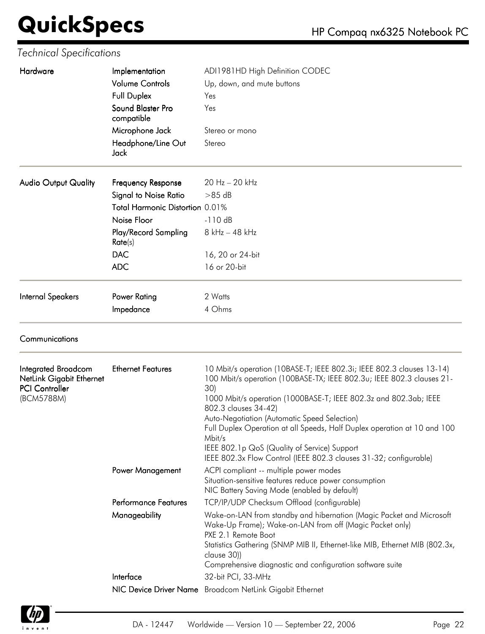| Hardware                                               | Implementation                  | ADI1981HD High Definition CODEC                                                                                                                |  |  |
|--------------------------------------------------------|---------------------------------|------------------------------------------------------------------------------------------------------------------------------------------------|--|--|
|                                                        | <b>Volume Controls</b>          | Up, down, and mute buttons                                                                                                                     |  |  |
|                                                        | <b>Full Duplex</b>              | Yes                                                                                                                                            |  |  |
|                                                        | Sound Blaster Pro<br>compatible | Yes                                                                                                                                            |  |  |
|                                                        | Microphone Jack                 | Stereo or mono                                                                                                                                 |  |  |
|                                                        | Headphone/Line Out<br>Jack      | Stereo                                                                                                                                         |  |  |
| <b>Audio Output Quality</b>                            | Frequency Response              | 20 Hz - 20 kHz                                                                                                                                 |  |  |
|                                                        | <b>Signal to Noise Ratio</b>    | $>85$ dB                                                                                                                                       |  |  |
|                                                        | Total Harmonic Distortion 0.01% |                                                                                                                                                |  |  |
|                                                        | Noise Floor                     | $-110dB$                                                                                                                                       |  |  |
|                                                        | Play/Record Sampling<br>Rate(s) | 8 kHz - 48 kHz                                                                                                                                 |  |  |
|                                                        | <b>DAC</b>                      | 16, 20 or 24-bit                                                                                                                               |  |  |
|                                                        | <b>ADC</b>                      | 16 or 20-bit                                                                                                                                   |  |  |
| <b>Internal Speakers</b>                               | Power Rating                    | 2 Watts                                                                                                                                        |  |  |
|                                                        | Impedance                       | 4 Ohms                                                                                                                                         |  |  |
| Communications                                         |                                 |                                                                                                                                                |  |  |
| <b>Integrated Broadcom</b><br>NetLink Giaghit Ethernet | <b>Ethernet Features</b>        | 10 Mbit/s operation (10BASE-T; IEEE 802.3i; IEEE 802.3 clauses 13-14)<br>100 Mbit/s operation (100BASE-TX: IFFE 802 3u: IFFE 802 3 clauses 21- |  |  |

| Integrated Broadcom<br>NetLink Gigabit Ethernet<br><b>PCI Controller</b><br>(BCM5788M) | <b>Ethernet Features</b>    | 10 Mbit/s operation (10BASE-T; IEEE 802.3i; IEEE 802.3 clauses 13-14)<br>100 Mbit/s operation (100BASE-TX; IEEE 802.3u; IEEE 802.3 clauses 21-<br>30)<br>1000 Mbit/s operation (1000BASE-T; IEEE 802.3z and 802.3ab; IEEE<br>802.3 clauses 34-42)<br>Auto-Negotiation (Automatic Speed Selection)<br>Full Duplex Operation at all Speeds, Half Duplex operation at 10 and 100<br>Mbit/s |
|----------------------------------------------------------------------------------------|-----------------------------|-----------------------------------------------------------------------------------------------------------------------------------------------------------------------------------------------------------------------------------------------------------------------------------------------------------------------------------------------------------------------------------------|
|                                                                                        |                             | IEEE 802.1p QoS (Quality of Service) Support<br>IEEE 802.3x Flow Control (IEEE 802.3 clauses 31-32; configurable)                                                                                                                                                                                                                                                                       |
|                                                                                        | <b>Power Management</b>     | ACPI compliant -- multiple power modes<br>Situation-sensitive features reduce power consumption<br>NIC Battery Saving Mode (enabled by default)                                                                                                                                                                                                                                         |
|                                                                                        | <b>Performance Features</b> | TCP/IP/UDP Checksum Offload (configurable)                                                                                                                                                                                                                                                                                                                                              |
|                                                                                        | Manageability               | Wake-on-LAN from standby and hibernation (Magic Packet and Microsoft<br>Wake-Up Frame); Wake-on-LAN from off (Magic Packet only)<br>PXE 2.1 Remote Boot<br>Statistics Gathering (SNMP MIB II, Ethernet-like MIB, Ethernet MIB (802.3x,<br>clause 30))<br>Comprehensive diagnostic and configuration software suite                                                                      |
|                                                                                        | Interface                   | 32-bit PCI, 33-MHz                                                                                                                                                                                                                                                                                                                                                                      |
|                                                                                        |                             | NIC Device Driver Name Broadcom NetLink Gigabit Ethernet                                                                                                                                                                                                                                                                                                                                |

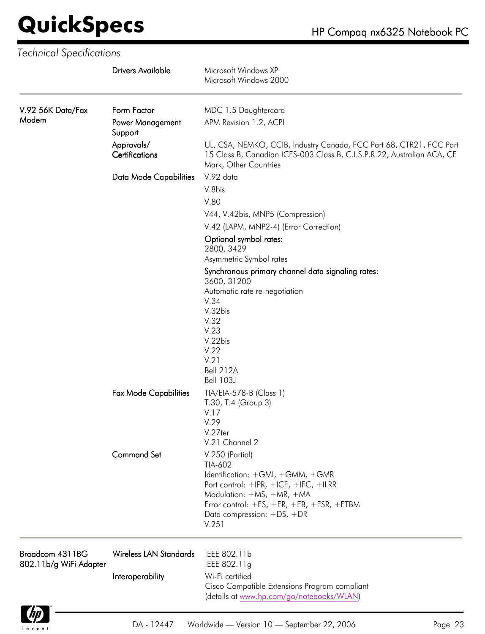|                                           | <b>Drivers Available</b>      | Microsoft Windows XP<br>Microsoft Windows 2000                                                                                                                          |
|-------------------------------------------|-------------------------------|-------------------------------------------------------------------------------------------------------------------------------------------------------------------------|
| V.92 56K Data/Fax                         | Form Factor                   | MDC 1.5 Daughtercard                                                                                                                                                    |
| Modem                                     | Power Management<br>Support   | APM Revision 1.2, ACPI                                                                                                                                                  |
|                                           | Approvals/<br>Certifications  | UL, CSA, NEMKO, CCIB, Industry Canada, FCC Part 68, CTR21, FCC Part<br>15 Class B, Canadian ICES-003 Class B, C.I.S.P.R.22, Australian ACA, CE<br>Mark, Other Countries |
|                                           | Data Mode Capabilities        | V.92 data                                                                                                                                                               |
|                                           |                               | V.8bis                                                                                                                                                                  |
|                                           |                               | V.80                                                                                                                                                                    |
|                                           |                               | V44, V.42bis, MNP5 (Compression)                                                                                                                                        |
|                                           |                               | V.42 (LAPM, MNP2-4) (Error Correction)                                                                                                                                  |
|                                           |                               | Optional symbol rates:                                                                                                                                                  |
|                                           |                               | 2800, 3429                                                                                                                                                              |
|                                           |                               | Asymmetric Symbol rates                                                                                                                                                 |
|                                           |                               | Synchronous primary channel data signaling rates:<br>3600, 31200<br>Automatic rate re-negotiation                                                                       |
|                                           |                               | V.34                                                                                                                                                                    |
|                                           |                               | V.32bis                                                                                                                                                                 |
|                                           |                               | V.32                                                                                                                                                                    |
|                                           |                               | V.23                                                                                                                                                                    |
|                                           |                               | V.22bis<br>V.22                                                                                                                                                         |
|                                           |                               | V.21                                                                                                                                                                    |
|                                           |                               | Bell 212A                                                                                                                                                               |
|                                           |                               | <b>Bell 103J</b>                                                                                                                                                        |
|                                           | <b>Fax Mode Capabilities</b>  | TIA/EIA-578-B (Class 1)<br>T.30, T.4 (Group 3)                                                                                                                          |
|                                           |                               | V.17                                                                                                                                                                    |
|                                           |                               | V.29                                                                                                                                                                    |
|                                           |                               | V.27ter<br>V.21 Channel 2                                                                                                                                               |
|                                           | <b>Command Set</b>            | V.250 (Partial)                                                                                                                                                         |
|                                           |                               | TIA-602                                                                                                                                                                 |
|                                           |                               | Identification: +GMI, +GMM, +GMR                                                                                                                                        |
|                                           |                               | Port control: +IPR, +ICF, +IFC, +ILRR                                                                                                                                   |
|                                           |                               | Modulation: +MS, +MR, +MA                                                                                                                                               |
|                                           |                               | Error control: +ES, +ER, +EB, +ESR, +ETBM                                                                                                                               |
|                                           |                               | Data compression: +DS, +DR<br>V.251                                                                                                                                     |
| Broadcom 4311BG<br>802.11b/g WiFi Adapter | <b>Wireless LAN Standards</b> | IEEE 802.11b<br>IEEE 802.11g                                                                                                                                            |
|                                           | Interoperability              | Wi-Fi certified                                                                                                                                                         |
|                                           |                               | Cisco Compatible Extensions Program compliant                                                                                                                           |
|                                           |                               | (details at www.hp.com/go/notebooks/WLAN)                                                                                                                               |
|                                           |                               |                                                                                                                                                                         |

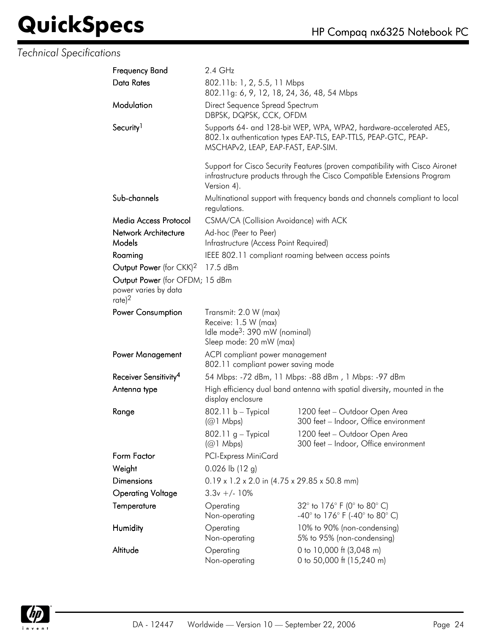| <b>Frequency Band</b>                                                         | 2.4 GHz                                                                                                               |                                                                                                                                                         |  |
|-------------------------------------------------------------------------------|-----------------------------------------------------------------------------------------------------------------------|---------------------------------------------------------------------------------------------------------------------------------------------------------|--|
| Data Rates                                                                    | 802.11b: 1, 2, 5.5, 11 Mbps<br>802.11g: 6, 9, 12, 18, 24, 36, 48, 54 Mbps                                             |                                                                                                                                                         |  |
| Modulation                                                                    | Direct Sequence Spread Spectrum<br>DBPSK, DQPSK, CCK, OFDM                                                            |                                                                                                                                                         |  |
| Security <sup>1</sup>                                                         | MSCHAPv2, LEAP, EAP-FAST, EAP-SIM.                                                                                    | Supports 64- and 128-bit WEP, WPA, WPA2, hardware-accelerated AES,<br>802.1x authentication types EAP-TLS, EAP-TTLS, PEAP-GTC, PEAP-                    |  |
|                                                                               | Version 4).                                                                                                           | Support for Cisco Security Features (proven compatibility with Cisco Aironet<br>infrastructure products through the Cisco Compatible Extensions Program |  |
| Sub-channels                                                                  | regulations.                                                                                                          | Multinational support with frequency bands and channels compliant to local                                                                              |  |
| Media Access Protocol                                                         | CSMA/CA (Collision Avoidance) with ACK                                                                                |                                                                                                                                                         |  |
| Network Architecture                                                          | Ad-hoc (Peer to Peer)                                                                                                 |                                                                                                                                                         |  |
| Models                                                                        | Infrastructure (Access Point Required)                                                                                |                                                                                                                                                         |  |
| Roaming                                                                       |                                                                                                                       | IEEE 802.11 compliant roaming between access points                                                                                                     |  |
| Output Power (for CKK) <sup>2</sup>                                           | 17.5 dBm                                                                                                              |                                                                                                                                                         |  |
| Output Power (for OFDM; 15 dBm<br>power varies by data<br>$rate$ <sup>2</sup> |                                                                                                                       |                                                                                                                                                         |  |
| Power Consumption                                                             | Transmit: 2.0 W (max)<br>Receive: 1.5 W (max)<br>Idle mode <sup>3</sup> : 390 mW (nominal)<br>Sleep mode: 20 mW (max) |                                                                                                                                                         |  |
| Power Management                                                              | ACPI compliant power management<br>802.11 compliant power saving mode                                                 |                                                                                                                                                         |  |
| Receiver Sensitivity <sup>4</sup>                                             | 54 Mbps: -72 dBm, 11 Mbps: -88 dBm, 1 Mbps: -97 dBm                                                                   |                                                                                                                                                         |  |
| Antenna type                                                                  | display enclosure                                                                                                     | High efficiency dual band antenna with spatial diversity, mounted in the                                                                                |  |
| Range                                                                         | 802.11 b - Typical<br>$(Q)$ Mbps)<br>$802.11$ g – Typical<br>$(Q)$ Mbps)                                              | 1200 feet - Outdoor Open Area<br>300 feet - Indoor, Office environment<br>1200 feet - Outdoor Open Area<br>300 feet - Indoor, Office environment        |  |
| Form Factor                                                                   | <b>PCI-Express MiniCard</b>                                                                                           |                                                                                                                                                         |  |
| Weight                                                                        | $0.026$ lb $(12 g)$                                                                                                   |                                                                                                                                                         |  |
| Dimensions                                                                    | $0.19 \times 1.2 \times 2.0$ in (4.75 x 29.85 x 50.8 mm)                                                              |                                                                                                                                                         |  |
| <b>Operating Voltage</b>                                                      | $3.3v +/- 10%$                                                                                                        |                                                                                                                                                         |  |
| Temperature                                                                   | Operating<br>Non-operating                                                                                            | 32° to 176° F (0° to 80° C)<br>$-40^{\circ}$ to 176 $^{\circ}$ F (-40 $^{\circ}$ to 80 $^{\circ}$ C)                                                    |  |
| Humidity                                                                      | Operating<br>Non-operating                                                                                            | 10% to 90% (non-condensing)<br>5% to 95% (non-condensing)                                                                                               |  |
| Altitude                                                                      | Operating<br>Non-operating                                                                                            | 0 to 10,000 ft (3,048 m)<br>0 to 50,000 ft (15,240 m)                                                                                                   |  |

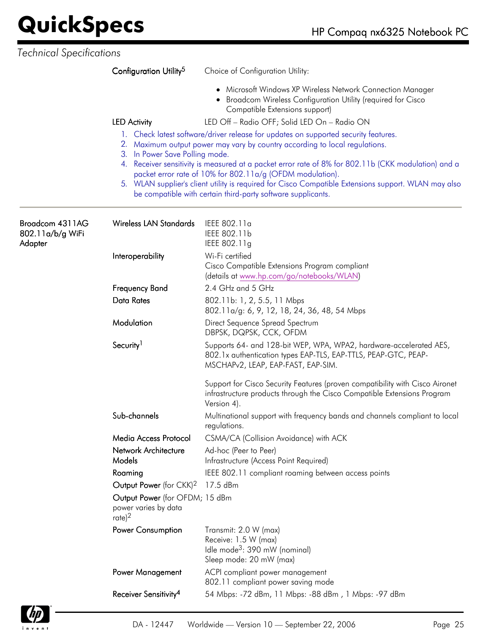|                                                | Configuration Utility <sup>5</sup>                                            | Choice of Configuration Utility:                                                                                                                                                                                                                                                                                                                                                                                                                                                                               |
|------------------------------------------------|-------------------------------------------------------------------------------|----------------------------------------------------------------------------------------------------------------------------------------------------------------------------------------------------------------------------------------------------------------------------------------------------------------------------------------------------------------------------------------------------------------------------------------------------------------------------------------------------------------|
|                                                |                                                                               | Microsoft Windows XP Wireless Network Connection Manager<br>٠<br><b>Broadcom Wireless Configuration Utility (required for Cisco</b><br>Compatible Extensions support)                                                                                                                                                                                                                                                                                                                                          |
|                                                | <b>LED Activity</b>                                                           | LED Off - Radio OFF; Solid LED On - Radio ON                                                                                                                                                                                                                                                                                                                                                                                                                                                                   |
| 3. In Power Save Polling mode.                 |                                                                               | 1. Check latest software/driver release for updates on supported security features.<br>2. Maximum output power may vary by country according to local regulations.<br>4. Receiver sensitivity is measured at a packet error rate of 8% for 802.11b (CKK modulation) and a<br>packet error rate of 10% for 802.11a/g (OFDM modulation).<br>5. WLAN supplier's client utility is required for Cisco Compatible Extensions support. WLAN may also<br>be compatible with certain third-party software supplicants. |
| Broadcom 4311AG<br>802.11a/b/g WiFi<br>Adapter | <b>Wireless LAN Standards</b>                                                 | IEEE 802.11a<br>IEEE 802.11b<br>IEEE 802.11g                                                                                                                                                                                                                                                                                                                                                                                                                                                                   |
|                                                | Interoperability                                                              | Wi-Fi certified<br>Cisco Compatible Extensions Program compliant<br>(details at www.hp.com/go/notebooks/WLAN)                                                                                                                                                                                                                                                                                                                                                                                                  |
|                                                | <b>Frequency Band</b>                                                         | 2.4 GHz and 5 GHz                                                                                                                                                                                                                                                                                                                                                                                                                                                                                              |
|                                                | <b>Data Rates</b>                                                             | 802.11b: 1, 2, 5.5, 11 Mbps<br>802.11a/g: 6, 9, 12, 18, 24, 36, 48, 54 Mbps                                                                                                                                                                                                                                                                                                                                                                                                                                    |
|                                                | Modulation                                                                    | Direct Sequence Spread Spectrum<br>DBPSK, DQPSK, CCK, OFDM                                                                                                                                                                                                                                                                                                                                                                                                                                                     |
|                                                | Security <sup>1</sup>                                                         | Supports 64- and 128-bit WEP, WPA, WPA2, hardware-accelerated AES,<br>802.1x authentication types EAP-TLS, EAP-TTLS, PEAP-GTC, PEAP-<br>MSCHAP <sub>v2</sub> , LEAP, EAP-FAST, EAP-SIM.                                                                                                                                                                                                                                                                                                                        |
|                                                |                                                                               | Support for Cisco Security Features (proven compatibility with Cisco Aironet<br>infrastructure products through the Cisco Compatible Extensions Program<br>Version 4).                                                                                                                                                                                                                                                                                                                                         |
|                                                | Sub-channels                                                                  | Multinational support with frequency bands and channels compliant to local<br>regulations.                                                                                                                                                                                                                                                                                                                                                                                                                     |
|                                                | Media Access Protocol                                                         | CSMA/CA (Collision Avoidance) with ACK                                                                                                                                                                                                                                                                                                                                                                                                                                                                         |
|                                                | Network Architecture<br>Models                                                | Ad-hoc (Peer to Peer)<br>Infrastructure (Access Point Required)                                                                                                                                                                                                                                                                                                                                                                                                                                                |
|                                                | Roaming                                                                       | IEEE 802.11 compliant roaming between access points                                                                                                                                                                                                                                                                                                                                                                                                                                                            |
|                                                | Output Power (for CKK) <sup>2</sup>                                           | 17.5 dBm                                                                                                                                                                                                                                                                                                                                                                                                                                                                                                       |
|                                                | Output Power (for OFDM; 15 dBm<br>power varies by data<br>$rate$ <sup>2</sup> |                                                                                                                                                                                                                                                                                                                                                                                                                                                                                                                |
|                                                | Power Consumption                                                             | Transmit: 2.0 W (max)<br>Receive: 1.5 W (max)<br>Idle mode <sup>3</sup> : 390 mW (nominal)<br>Sleep mode: 20 mW (max)                                                                                                                                                                                                                                                                                                                                                                                          |
|                                                | <b>Power Management</b>                                                       | ACPI compliant power management<br>802.11 compliant power saving mode                                                                                                                                                                                                                                                                                                                                                                                                                                          |
|                                                | Receiver Sensitivity <sup>4</sup>                                             | 54 Mbps: -72 dBm, 11 Mbps: -88 dBm, 1 Mbps: -97 dBm                                                                                                                                                                                                                                                                                                                                                                                                                                                            |

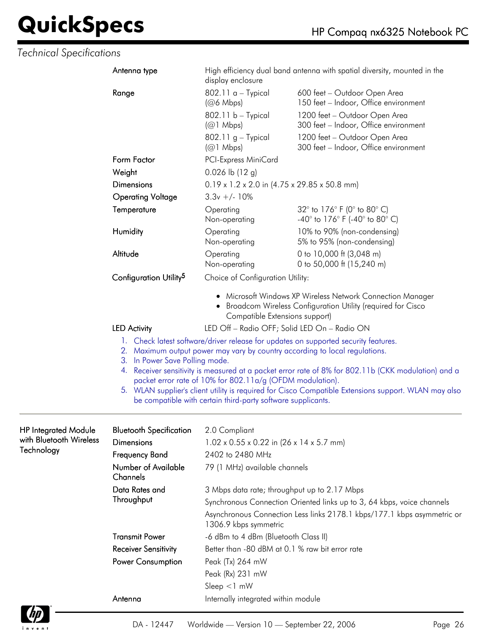#### *Technical Specifications*

|                             | Antenna type                                                        | High efficiency dual band antenna with spatial diversity, mounted in the<br>display enclosure                             |                                                                                                                                                                                                                                                                                            |  |  |
|-----------------------------|---------------------------------------------------------------------|---------------------------------------------------------------------------------------------------------------------------|--------------------------------------------------------------------------------------------------------------------------------------------------------------------------------------------------------------------------------------------------------------------------------------------|--|--|
|                             | Range                                                               | $802.11 a - Typical$<br>$(Q6 \text{ Mbps})$                                                                               | 600 feet - Outdoor Open Area<br>150 feet - Indoor, Office environment                                                                                                                                                                                                                      |  |  |
|                             |                                                                     | 802.11 b - Typical                                                                                                        | 1200 feet - Outdoor Open Area                                                                                                                                                                                                                                                              |  |  |
|                             |                                                                     | $(Q)$ Mbps)                                                                                                               | 300 feet - Indoor, Office environment                                                                                                                                                                                                                                                      |  |  |
|                             |                                                                     | 802.11 g - Typical<br>$(Q)$ Mbps)                                                                                         | 1200 feet - Outdoor Open Area<br>300 feet - Indoor, Office environment                                                                                                                                                                                                                     |  |  |
|                             | Form Factor                                                         | PCI-Express MiniCard                                                                                                      |                                                                                                                                                                                                                                                                                            |  |  |
|                             | Weight                                                              | 0.026 lb (12 g)                                                                                                           |                                                                                                                                                                                                                                                                                            |  |  |
|                             | <b>Dimensions</b>                                                   |                                                                                                                           | 0.19 x 1.2 x 2.0 in (4.75 x 29.85 x 50.8 mm)                                                                                                                                                                                                                                               |  |  |
|                             | <b>Operating Voltage</b>                                            | $3.3v +/- 10%$                                                                                                            |                                                                                                                                                                                                                                                                                            |  |  |
|                             | Temperature                                                         | Operating<br>Non-operating                                                                                                | 32° to 176° F (0° to 80° C)<br>$-40^{\circ}$ to 176 $^{\circ}$ F (-40 $^{\circ}$ to 80 $^{\circ}$ C)                                                                                                                                                                                       |  |  |
|                             | Humidity                                                            | Operating<br>Non-operating                                                                                                | 10% to 90% (non-condensing)<br>5% to 95% (non-condensing)                                                                                                                                                                                                                                  |  |  |
|                             | Altitude                                                            | Operating<br>Non-operating                                                                                                | 0 to 10,000 ft (3,048 m)<br>0 to 50,000 ft (15,240 m)                                                                                                                                                                                                                                      |  |  |
|                             | Configuration Utility <sup>5</sup>                                  | Choice of Configuration Utility:                                                                                          |                                                                                                                                                                                                                                                                                            |  |  |
|                             |                                                                     | Compatible Extensions support)                                                                                            | • Microsoft Windows XP Wireless Network Connection Manager<br>• Broadcom Wireless Configuration Utility (required for Cisco                                                                                                                                                                |  |  |
|                             | LED Off - Radio OFF; Solid LED On - Radio ON<br><b>LED Activity</b> |                                                                                                                           |                                                                                                                                                                                                                                                                                            |  |  |
|                             | 3. In Power Save Polling mode.                                      | packet error rate of 10% for 802.11a/g (OFDM modulation).<br>be compatible with certain third-party software supplicants. | 2. Maximum output power may vary by country according to local regulations.<br>4. Receiver sensitivity is measured at a packet error rate of 8% for 802.11b (CKK modulation) and a<br>5. WLAN supplier's client utility is required for Cisco Compatible Extensions support. WLAN may also |  |  |
| <b>HP Integrated Module</b> | <b>Bluetooth Specification</b>                                      | 2.0 Compliant                                                                                                             |                                                                                                                                                                                                                                                                                            |  |  |
| with Bluetooth Wireless     | <b>Dimensions</b>                                                   | $1.02 \times 0.55 \times 0.22$ in $(26 \times 14 \times 5.7 \text{ mm})$                                                  |                                                                                                                                                                                                                                                                                            |  |  |
| Technology                  | Frequency Band                                                      | 2402 to 2480 MHz                                                                                                          |                                                                                                                                                                                                                                                                                            |  |  |
|                             | Number of Available<br>Channels                                     | 79 (1 MHz) available channels                                                                                             |                                                                                                                                                                                                                                                                                            |  |  |
|                             | Data Rates and                                                      | 3 Mbps data rate; throughput up to 2.17 Mbps                                                                              |                                                                                                                                                                                                                                                                                            |  |  |
|                             | Throughput                                                          | Synchronous Connection Oriented links up to 3, 64 kbps, voice channels                                                    |                                                                                                                                                                                                                                                                                            |  |  |
|                             |                                                                     | 1306.9 kbps symmetric                                                                                                     | Asynchronous Connection Less links 2178.1 kbps/177.1 kbps asymmetric or                                                                                                                                                                                                                    |  |  |
|                             | <b>Transmit Power</b>                                               | -6 dBm to 4 dBm (Bluetooth Class II)                                                                                      |                                                                                                                                                                                                                                                                                            |  |  |
|                             | <b>Receiver Sensitivity</b>                                         | Better than -80 dBM at 0.1 % raw bit error rate                                                                           |                                                                                                                                                                                                                                                                                            |  |  |
|                             | Power Consumption                                                   | Peak (Tx) 264 mW                                                                                                          |                                                                                                                                                                                                                                                                                            |  |  |
|                             |                                                                     | Peak (Rx) 231 mW                                                                                                          |                                                                                                                                                                                                                                                                                            |  |  |
|                             |                                                                     | Sleep $<$ 1 mW                                                                                                            |                                                                                                                                                                                                                                                                                            |  |  |
|                             | Antenna                                                             | Internally integrated within module                                                                                       |                                                                                                                                                                                                                                                                                            |  |  |

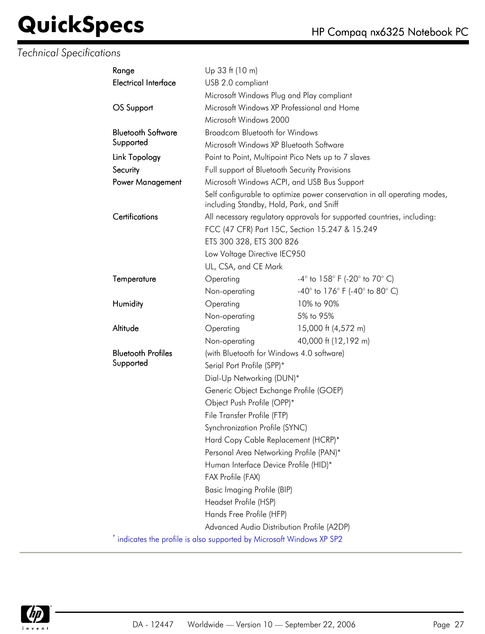| Range                       | Up 33 ft (10 m)                                                       |                                                                          |  |
|-----------------------------|-----------------------------------------------------------------------|--------------------------------------------------------------------------|--|
| <b>Electrical Interface</b> | USB 2.0 compliant                                                     |                                                                          |  |
|                             | Microsoft Windows Plug and Play compliant                             |                                                                          |  |
| OS Support                  | Microsoft Windows XP Professional and Home                            |                                                                          |  |
|                             | Microsoft Windows 2000                                                |                                                                          |  |
| <b>Bluetooth Software</b>   | <b>Broadcom Bluetooth for Windows</b>                                 |                                                                          |  |
| Supported                   | Microsoft Windows XP Bluetooth Software                               |                                                                          |  |
| Link Topology               | Point to Point, Multipoint Pico Nets up to 7 slaves                   |                                                                          |  |
| Security                    | Full support of Bluetooth Security Provisions                         |                                                                          |  |
| Power Management            | Microsoft Windows ACPI, and USB Bus Support                           |                                                                          |  |
|                             | including Standby, Hold, Park, and Sniff                              | Self configurable to optimize power conservation in all operating modes, |  |
| Certifications              |                                                                       | All necessary regulatory approvals for supported countries, including:   |  |
|                             | FCC (47 CFR) Part 15C, Section 15.247 & 15.249                        |                                                                          |  |
|                             | ETS 300 328, ETS 300 826                                              |                                                                          |  |
|                             | Low Voltage Directive IEC950                                          |                                                                          |  |
|                             | UL, CSA, and CE Mark                                                  |                                                                          |  |
| Temperature                 | Operating                                                             | $-4^{\circ}$ to $158^{\circ}$ F (-20 $^{\circ}$ to 70 $^{\circ}$ C)      |  |
|                             | Non-operating                                                         | -40° to 176° F (-40° to 80° C)                                           |  |
| Humidity                    | Operating                                                             | 10% to 90%                                                               |  |
|                             | Non-operating                                                         | 5% to 95%                                                                |  |
| Altitude                    | Operating                                                             | 15,000 ft (4,572 m)                                                      |  |
|                             | Non-operating                                                         | 40,000 ft (12,192 m)                                                     |  |
| <b>Bluetooth Profiles</b>   | (with Bluetooth for Windows 4.0 software)                             |                                                                          |  |
| Supported                   | Serial Port Profile (SPP)*                                            |                                                                          |  |
|                             | Dial-Up Networking (DUN)*                                             |                                                                          |  |
|                             | Generic Object Exchange Profile (GOEP)                                |                                                                          |  |
|                             | Object Push Profile (OPP)*                                            |                                                                          |  |
|                             | File Transfer Profile (FTP)                                           |                                                                          |  |
|                             | Synchronization Profile (SYNC)                                        |                                                                          |  |
|                             | Hard Copy Cable Replacement (HCRP)*                                   |                                                                          |  |
|                             | Personal Area Networking Profile (PAN)*                               |                                                                          |  |
|                             | Human Interface Device Profile (HID)*                                 |                                                                          |  |
|                             | FAX Profile (FAX)                                                     |                                                                          |  |
|                             | Basic Imaging Profile (BIP)                                           |                                                                          |  |
|                             | Headset Profile (HSP)                                                 |                                                                          |  |
|                             | Hands Free Profile (HFP)                                              |                                                                          |  |
|                             | Advanced Audio Distribution Profile (A2DP)                            |                                                                          |  |
|                             | * indicates the profile is also supported by Microsoft Windows XP SP2 |                                                                          |  |

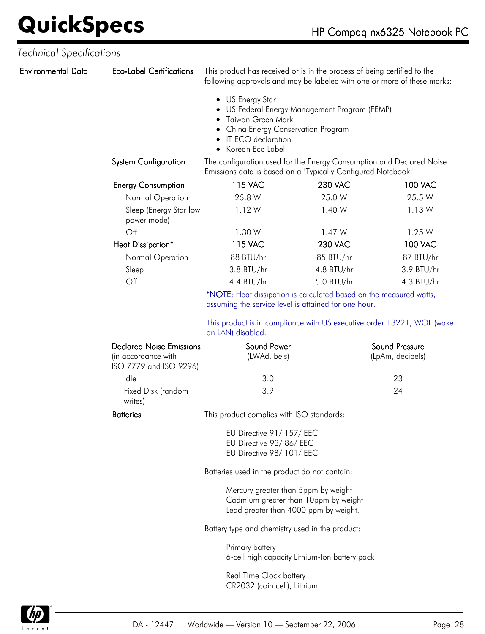| <b>Environmental Data</b> | <b>Eco-Label Certifications</b>                                                  | This product has received or is in the process of being certified to the<br>following approvals and may be labeled with one or more of these marks:                   |                |                                    |
|---------------------------|----------------------------------------------------------------------------------|-----------------------------------------------------------------------------------------------------------------------------------------------------------------------|----------------|------------------------------------|
|                           |                                                                                  | • US Energy Star<br>US Federal Energy Management Program (FEMP)<br>Taiwan Green Mark<br>China Energy Conservation Program<br>IT ECO declaration<br>• Korean Eco Label |                |                                    |
|                           | <b>System Configuration</b>                                                      | The configuration used for the Energy Consumption and Declared Noise<br>Emissions data is based on a "Typically Configured Notebook."                                 |                |                                    |
|                           | <b>Energy Consumption</b>                                                        | 115 VAC                                                                                                                                                               | <b>230 VAC</b> | <b>100 VAC</b>                     |
|                           | Normal Operation                                                                 | 25.8 W                                                                                                                                                                | 25.0 W         | 25.5 W                             |
|                           | Sleep (Energy Star low<br>power mode)                                            | 1.12W                                                                                                                                                                 | 1.40 W         | 1.13W                              |
|                           | Off                                                                              | 1.30 W                                                                                                                                                                | 1.47 W         | 1.25 W                             |
|                           | Heat Dissipation*                                                                | 115 VAC                                                                                                                                                               | <b>230 VAC</b> | <b>100 VAC</b>                     |
|                           | Normal Operation                                                                 | 88 BTU/hr                                                                                                                                                             | 85 BTU/hr      | 87 BTU/hr                          |
|                           | Sleep                                                                            | 3.8 BTU/hr                                                                                                                                                            | 4.8 BTU/hr     | 3.9 BTU/hr                         |
|                           | Off                                                                              | 4.4 BTU/hr                                                                                                                                                            | 5.0 BTU/hr     | 4.3 BTU/hr                         |
|                           |                                                                                  | *NOTE: Heat dissipation is calculated based on the measured watts,<br>assuming the service level is attained for one hour.                                            |                |                                    |
|                           |                                                                                  | This product is in compliance with US executive order 13221, WOL (wake<br>on LAN) disabled.                                                                           |                |                                    |
|                           | <b>Declared Noise Emissions</b><br>(in accordance with<br>ISO 7779 and ISO 9296) | Sound Power<br>(LWAd, bels)                                                                                                                                           |                | Sound Pressure<br>(LpAm, decibels) |
|                           | Idle                                                                             | 3.0                                                                                                                                                                   |                | 23                                 |
|                           | Fixed Disk (random<br>writes)                                                    | 3.9                                                                                                                                                                   |                | 24                                 |
|                           | <b>Batteries</b>                                                                 | This product complies with ISO standards:                                                                                                                             |                |                                    |
|                           |                                                                                  | EU Directive 91/157/EEC<br>EU Directive 93/86/EEC<br>EU Directive 98/ 101/ EEC                                                                                        |                |                                    |
|                           |                                                                                  | Batteries used in the product do not contain:                                                                                                                         |                |                                    |
|                           |                                                                                  | Mercury greater than 5ppm by weight<br>Cadmium greater than 10ppm by weight<br>Lead greater than 4000 ppm by weight.                                                  |                |                                    |
|                           |                                                                                  | Battery type and chemistry used in the product:                                                                                                                       |                |                                    |
|                           |                                                                                  | Primary battery<br>6-cell high capacity Lithium-Ion battery pack                                                                                                      |                |                                    |
|                           |                                                                                  | Real Time Clock battery<br>CR2032 (coin cell), Lithium                                                                                                                |                |                                    |

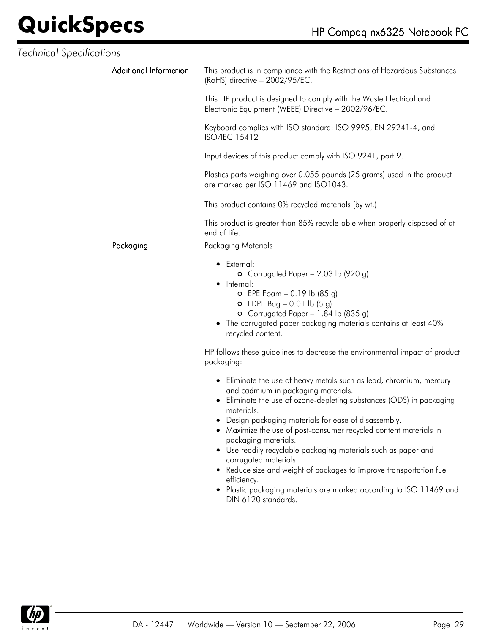| Technical Specifications |                               |                                                                                                                                                                                                                                                                                                                                                                                                                                                   |
|--------------------------|-------------------------------|---------------------------------------------------------------------------------------------------------------------------------------------------------------------------------------------------------------------------------------------------------------------------------------------------------------------------------------------------------------------------------------------------------------------------------------------------|
|                          | <b>Additional Information</b> | This product is in compliance with the Restrictions of Hazardous Substances<br>(RoHS) directive - 2002/95/EC.                                                                                                                                                                                                                                                                                                                                     |
|                          |                               | This HP product is designed to comply with the Waste Electrical and<br>Electronic Equipment (WEEE) Directive - 2002/96/EC.                                                                                                                                                                                                                                                                                                                        |
|                          |                               | Keyboard complies with ISO standard: ISO 9995, EN 29241-4, and<br><b>ISO/IEC 15412</b>                                                                                                                                                                                                                                                                                                                                                            |
|                          |                               | Input devices of this product comply with ISO 9241, part 9.                                                                                                                                                                                                                                                                                                                                                                                       |
|                          |                               | Plastics parts weighing over 0.055 pounds (25 grams) used in the product<br>are marked per ISO 11469 and ISO1043.                                                                                                                                                                                                                                                                                                                                 |
|                          |                               | This product contains 0% recycled materials (by wt.)                                                                                                                                                                                                                                                                                                                                                                                              |
|                          |                               | This product is greater than 85% recycle-able when properly disposed of at<br>end of life.                                                                                                                                                                                                                                                                                                                                                        |
|                          | Packaging                     | Packaging Materials                                                                                                                                                                                                                                                                                                                                                                                                                               |
|                          |                               | $\bullet$ External:<br>O Corrugated Paper $-2.03$ lb (920 g)<br>• Internal:<br>$O$ EPE Foam - 0.19 lb (85 g)<br>$O$ LDPE Bag – 0.01 lb (5 g)<br>O Corrugated Paper - 1.84 lb (835 g)<br>• The corrugated paper packaging materials contains at least 40%<br>recycled content.                                                                                                                                                                     |
|                          |                               | HP follows these guidelines to decrease the environmental impact of product<br>packaging:                                                                                                                                                                                                                                                                                                                                                         |
|                          |                               | • Eliminate the use of heavy metals such as lead, chromium, mercury<br>and cadmium in packaging materials.<br>• Eliminate the use of ozone-depleting substances (ODS) in packaging<br>materials.<br>• Design packaging materials for ease of disassembly.<br>• Maximize the use of post-consumer recycled content materials in<br>packaging materials.<br>• Use readily recyclable packaging materials such as paper and<br>corrugated materials. |

- Reduce size and weight of packages to improve transportation fuel efficiency.
- Plastic packaging materials are marked according to ISO 11469 and DIN 6120 standards.

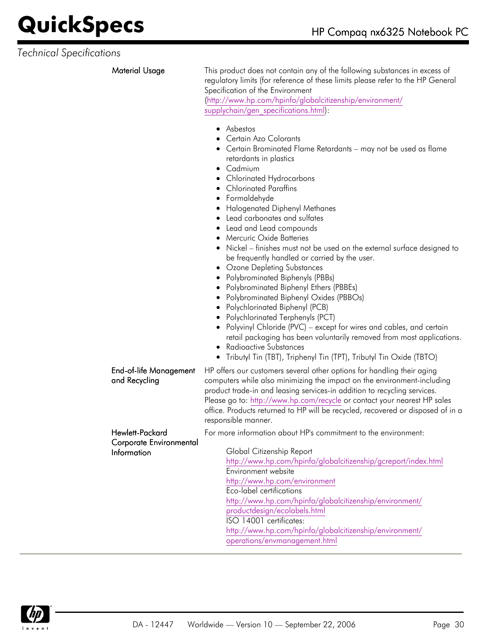| <b>Material Usage</b>                                            | This product does not contain any of the following substances in excess of<br>regulatory limits (for reference of these limits please refer to the HP General<br>Specification of the Environment<br>(http://www.hp.com/hpinfo/globalcitizenship/environment/<br>supplychain/gen_specifications.html):                                                                                                                                                                                                                                                                                                                                                                                                                                                                                                                                                                                                                                                                           |
|------------------------------------------------------------------|----------------------------------------------------------------------------------------------------------------------------------------------------------------------------------------------------------------------------------------------------------------------------------------------------------------------------------------------------------------------------------------------------------------------------------------------------------------------------------------------------------------------------------------------------------------------------------------------------------------------------------------------------------------------------------------------------------------------------------------------------------------------------------------------------------------------------------------------------------------------------------------------------------------------------------------------------------------------------------|
|                                                                  | • Asbestos<br>• Certain Azo Colorants<br>• Certain Brominated Flame Retardants - may not be used as flame<br>retardants in plastics<br>• Cadmium<br>• Chlorinated Hydrocarbons<br>• Chlorinated Paraffins<br>• Formaldehyde<br>Halogenated Diphenyl Methanes<br>Lead carbonates and sulfates<br>Lead and Lead compounds<br><b>Mercuric Oxide Batteries</b><br>Nickel - finishes must not be used on the external surface designed to<br>be frequently handled or carried by the user.<br>• Ozone Depleting Substances<br>• Polybrominated Biphenyls (PBBs)<br>• Polybrominated Biphenyl Ethers (PBBEs)<br>• Polybrominated Biphenyl Oxides (PBBOs)<br>• Polychlorinated Biphenyl (PCB)<br>• Polychlorinated Terphenyls (PCT)<br>Polyvinyl Chloride (PVC) – except for wires and cables, and certain<br>retail packaging has been voluntarily removed from most applications.<br>• Radioactive Substances<br>• Tributyl Tin (TBT), Triphenyl Tin (TPT), Tributyl Tin Oxide (TBTO) |
| <b>End-of-life Management</b><br>and Recycling                   | HP offers our customers several other options for handling their aging<br>computers while also minimizing the impact on the environment-including<br>product trade-in and leasing services-in addition to recycling services.<br>Please go to: http://www.hp.com/recycle or contact your nearest HP sales<br>office. Products returned to HP will be recycled, recovered or disposed of in a<br>responsible manner.                                                                                                                                                                                                                                                                                                                                                                                                                                                                                                                                                              |
| Hewlett-Packard<br>Corporate Environmental<br><b>Information</b> | For more information about HP's commitment to the environment:<br>Global Citizenship Report<br>http://www.hp.com/hpinfo/globalcitizenship/gcreport/index.html<br>Environment website<br>http://www.hp.com/environment<br>Eco-label certifications<br>http://www.hp.com/hpinfo/globalcitizenship/environment/<br>productdesign/ecolabels.html<br>ISO 14001 certificates:<br>http://www.hp.com/hpinfo/globalcitizenship/environment/<br>operations/envmanagement.html                                                                                                                                                                                                                                                                                                                                                                                                                                                                                                              |